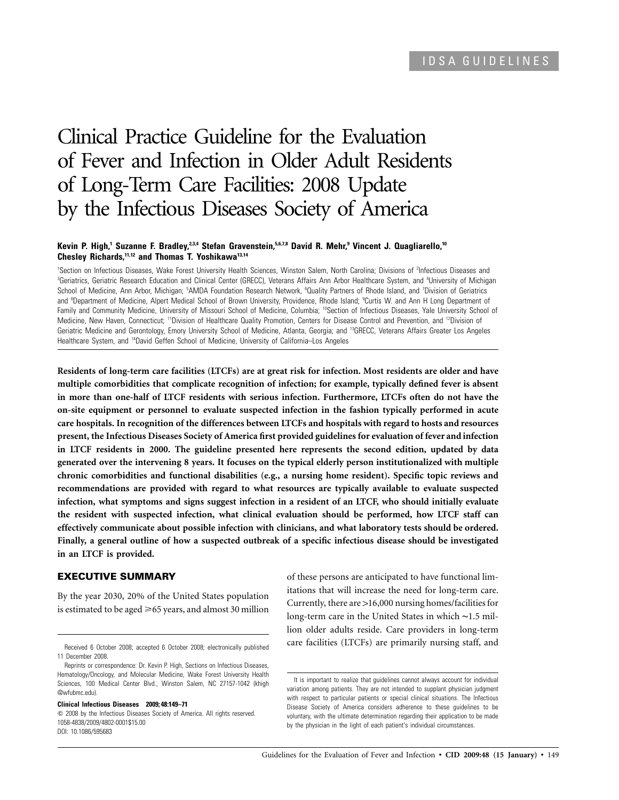# Clinical Practice Guideline for the Evaluation of Fever and Infection in Older Adult Residents of Long-Term Care Facilities: 2008 Update by the Infectious Diseases Society of America

## **Kevin P. High,<sup>1</sup> Suzanne F. Bradley, <sup>2,3,4</sup> Stefan Gravenstein, <sup>5,6,7,8</sup> David R. Mehr,<sup>9</sup> Vincent J. Quagliarello,<sup>10</sup> Chesley Richards,11,12 and Thomas T. Yoshikawa13,14**

<sup>1</sup>Section on Infectious Diseases, Wake Forest University Health Sciences, Winston Salem, North Carolina; Divisions of <sup>2</sup>Infectious Diseases and <sup>3</sup>Geriatrics, Geriatric Research Education and Clinical Center (GRECC), Veterans Affairs Ann Arbor Healthcare System, and <sup>4</sup>University of Michigan School of Medicine, Ann Arbor, Michigan; <sup>5</sup>AMDA Foundation Research Network, <sup>6</sup>Quality Partners of Rhode Island, and 7Division of Geriatrics and <sup>a</sup>Department of Medicine, Alpert Medical School of Brown University, Providence, Rhode Island; <sup>9</sup>Curtis W. and Ann H Long Department of Family and Community Medicine, University of Missouri School of Medicine, Columbia; <sup>10</sup>Section of Infectious Diseases, Yale University School of Medicine, New Haven, Connecticut; "Division of Healthcare Quality Promotion, Centers for Disease Control and Prevention, and <sup>12</sup>Division of Geriatric Medicine and Gerontology, Emory University School of Medicine, Atlanta, Georgia; and 13GRECC, Veterans Affairs Greater Los Angeles Healthcare System, and <sup>14</sup>David Geffen School of Medicine, University of California-Los Angeles

**Residents of long-term care facilities (LTCFs) are at great risk for infection. Most residents are older and have multiple comorbidities that complicate recognition of infection; for example, typically defined fever is absent in more than one-half of LTCF residents with serious infection. Furthermore, LTCFs often do not have the on-site equipment or personnel to evaluate suspected infection in the fashion typically performed in acute care hospitals. In recognition of the differences between LTCFs and hospitals with regard to hosts and resources present, the Infectious Diseases Society of America first provided guidelines for evaluation of fever and infection in LTCF residents in 2000. The guideline presented here represents the second edition, updated by data generated over the intervening 8 years. It focuses on the typical elderly person institutionalized with multiple chronic comorbidities and functional disabilities (e.g., a nursing home resident). Specific topic reviews and recommendations are provided with regard to what resources are typically available to evaluate suspected infection, what symptoms and signs suggest infection in a resident of an LTCF, who should initially evaluate the resident with suspected infection, what clinical evaluation should be performed, how LTCF staff can effectively communicate about possible infection with clinicians, and what laboratory tests should be ordered. Finally, a general outline of how a suspected outbreak of a specific infectious disease should be investigated in an LTCF is provided.**

# **EXECUTIVE SUMMARY**

By the year 2030, 20% of the United States population is estimated to be aged  $\geq 65$  years, and almost 30 million

**Clinical Infectious Diseases 2009; 48:149–71**

of these persons are anticipated to have functional limitations that will increase the need for long-term care. Currently, there are >16,000 nursing homes/facilities for long-term care in the United States in which ∼1.5 million older adults reside. Care providers in long-term care facilities (LTCFs) are primarily nursing staff, and

Received 6 October 2008; accepted 6 October 2008; electronically published 11 December 2008.

Reprints or correspondence: Dr. Kevin P. High, Sections on Infectious Diseases, Hematology/Oncology, and Molecular Medicine, Wake Forest University Health Sciences, 100 Medical Center Blvd., Winston Salem, NC 27157-1042 (khigh @wfubmc.edu).

<sup>© 2008</sup> by the Infectious Diseases Society of America. All rights reserved. 1058-4838/2009/4802-0001\$15.00 DOI: 10.1086/595683

It is important to realize that guidelines cannot always account for individual variation among patients. They are not intended to supplant physician judgment with respect to particular patients or special clinical situations. The Infectious Disease Society of America considers adherence to these guidelines to be voluntary, with the ultimate determination regarding their application to be made by the physician in the light of each patient's individual circumstances.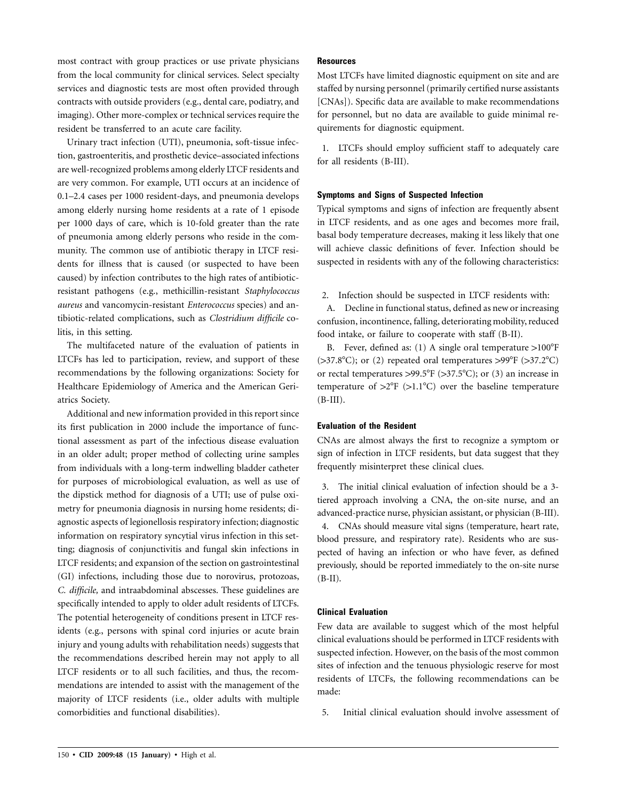most contract with group practices or use private physicians from the local community for clinical services. Select specialty services and diagnostic tests are most often provided through contracts with outside providers (e.g., dental care, podiatry, and imaging). Other more-complex or technical services require the resident be transferred to an acute care facility.

Urinary tract infection (UTI), pneumonia, soft-tissue infection, gastroenteritis, and prosthetic device–associated infections are well-recognized problems among elderly LTCF residents and are very common. For example, UTI occurs at an incidence of 0.1–2.4 cases per 1000 resident-days, and pneumonia develops among elderly nursing home residents at a rate of 1 episode per 1000 days of care, which is 10-fold greater than the rate of pneumonia among elderly persons who reside in the community. The common use of antibiotic therapy in LTCF residents for illness that is caused (or suspected to have been caused) by infection contributes to the high rates of antibioticresistant pathogens (e.g., methicillin-resistant *Staphylococcus aureus* and vancomycin-resistant *Enterococcus* species) and antibiotic-related complications, such as *Clostridium difficile* colitis, in this setting.

The multifaceted nature of the evaluation of patients in LTCFs has led to participation, review, and support of these recommendations by the following organizations: Society for Healthcare Epidemiology of America and the American Geriatrics Society.

Additional and new information provided in this report since its first publication in 2000 include the importance of functional assessment as part of the infectious disease evaluation in an older adult; proper method of collecting urine samples from individuals with a long-term indwelling bladder catheter for purposes of microbiological evaluation, as well as use of the dipstick method for diagnosis of a UTI; use of pulse oximetry for pneumonia diagnosis in nursing home residents; diagnostic aspects of legionellosis respiratory infection; diagnostic information on respiratory syncytial virus infection in this setting; diagnosis of conjunctivitis and fungal skin infections in LTCF residents; and expansion of the section on gastrointestinal (GI) infections, including those due to norovirus, protozoas, *C. difficile,* and intraabdominal abscesses. These guidelines are specifically intended to apply to older adult residents of LTCFs. The potential heterogeneity of conditions present in LTCF residents (e.g., persons with spinal cord injuries or acute brain injury and young adults with rehabilitation needs) suggests that the recommendations described herein may not apply to all LTCF residents or to all such facilities, and thus, the recommendations are intended to assist with the management of the majority of LTCF residents (i.e., older adults with multiple comorbidities and functional disabilities).

# **Resources**

Most LTCFs have limited diagnostic equipment on site and are staffed by nursing personnel (primarily certified nurse assistants [CNAs]). Specific data are available to make recommendations for personnel, but no data are available to guide minimal requirements for diagnostic equipment.

1. LTCFs should employ sufficient staff to adequately care for all residents (B-III).

# **Symptoms and Signs of Suspected Infection**

Typical symptoms and signs of infection are frequently absent in LTCF residents, and as one ages and becomes more frail, basal body temperature decreases, making it less likely that one will achieve classic definitions of fever. Infection should be suspected in residents with any of the following characteristics:

2. Infection should be suspected in LTCF residents with:

A. Decline in functional status, defined as new or increasing confusion, incontinence, falling, deteriorating mobility, reduced food intake, or failure to cooperate with staff (B-II).

B. Fever, defined as: (1) A single oral temperature  $>100^{\circ}F$  $(>37.8^{\circ}C)$ ; or (2) repeated oral temperatures  $>99^{\circ}F$  ( $>37.2^{\circ}C$ ) or rectal temperatures  $>99.5^{\circ}F$  ( $>37.5^{\circ}C$ ); or (3) an increase in temperature of  $>2^{\circ}F$  ( $>1.1^{\circ}C$ ) over the baseline temperature  $(B-III).$ 

#### **Evaluation of the Resident**

CNAs are almost always the first to recognize a symptom or sign of infection in LTCF residents, but data suggest that they frequently misinterpret these clinical clues.

3. The initial clinical evaluation of infection should be a 3 tiered approach involving a CNA, the on-site nurse, and an advanced-practice nurse, physician assistant, or physician (B-III). 4. CNAs should measure vital signs (temperature, heart rate, blood pressure, and respiratory rate). Residents who are suspected of having an infection or who have fever, as defined previously, should be reported immediately to the on-site nurse (B-II).

# **Clinical Evaluation**

Few data are available to suggest which of the most helpful clinical evaluations should be performed in LTCF residents with suspected infection. However, on the basis of the most common sites of infection and the tenuous physiologic reserve for most residents of LTCFs, the following recommendations can be made:

5. Initial clinical evaluation should involve assessment of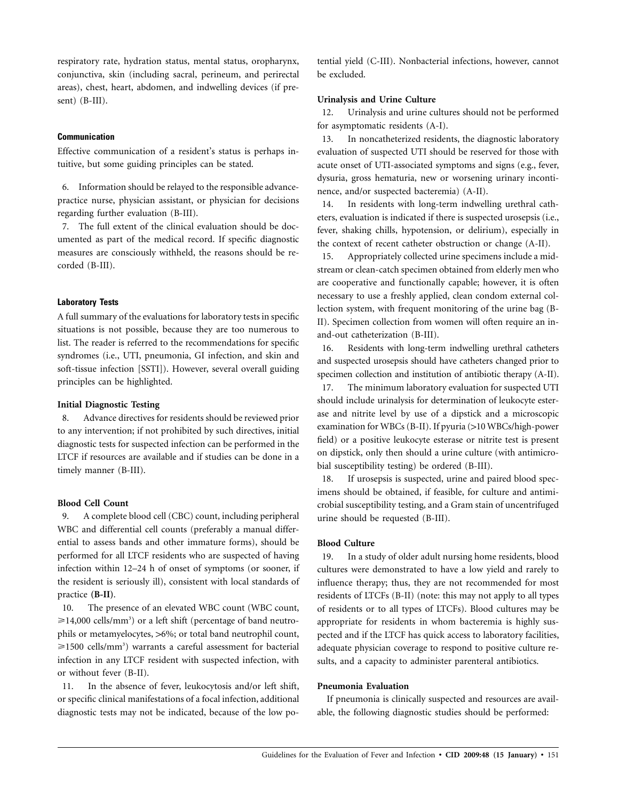respiratory rate, hydration status, mental status, oropharynx, conjunctiva, skin (including sacral, perineum, and perirectal areas), chest, heart, abdomen, and indwelling devices (if present) (B-III).

## **Communication**

Effective communication of a resident's status is perhaps intuitive, but some guiding principles can be stated.

6. Information should be relayed to the responsible advancepractice nurse, physician assistant, or physician for decisions regarding further evaluation (B-III).

7. The full extent of the clinical evaluation should be documented as part of the medical record. If specific diagnostic measures are consciously withheld, the reasons should be recorded (B-III).

# **Laboratory Tests**

A full summary of the evaluations for laboratory tests in specific situations is not possible, because they are too numerous to list. The reader is referred to the recommendations for specific syndromes (i.e., UTI, pneumonia, GI infection, and skin and soft-tissue infection [SSTI]). However, several overall guiding principles can be highlighted.

# **Initial Diagnostic Testing**

8. Advance directives for residents should be reviewed prior to any intervention; if not prohibited by such directives, initial diagnostic tests for suspected infection can be performed in the LTCF if resources are available and if studies can be done in a timely manner (B-III).

#### **Blood Cell Count**

9. A complete blood cell (CBC) count, including peripheral WBC and differential cell counts (preferably a manual differential to assess bands and other immature forms), should be performed for all LTCF residents who are suspected of having infection within 12–24 h of onset of symptoms (or sooner, if the resident is seriously ill), consistent with local standards of practice **(B-II)**.

10. The presence of an elevated WBC count (WBC count,  $\geq 14,000$  cells/mm<sup>3</sup>) or a left shift (percentage of band neutrophils or metamyelocytes, >6%; or total band neutrophil count,  $\geq$ 1500 cells/mm<sup>3</sup>) warrants a careful assessment for bacterial infection in any LTCF resident with suspected infection, with or without fever (B-II).

11. In the absence of fever, leukocytosis and/or left shift, or specific clinical manifestations of a focal infection, additional diagnostic tests may not be indicated, because of the low potential yield (C-III). Nonbacterial infections, however, cannot be excluded.

# **Urinalysis and Urine Culture**

12. Urinalysis and urine cultures should not be performed for asymptomatic residents (A-I).

13. In noncatheterized residents, the diagnostic laboratory evaluation of suspected UTI should be reserved for those with acute onset of UTI-associated symptoms and signs (e.g., fever, dysuria, gross hematuria, new or worsening urinary incontinence, and/or suspected bacteremia) (A-II).

14. In residents with long-term indwelling urethral catheters, evaluation is indicated if there is suspected urosepsis (i.e., fever, shaking chills, hypotension, or delirium), especially in the context of recent catheter obstruction or change (A-II).

15. Appropriately collected urine specimens include a midstream or clean-catch specimen obtained from elderly men who are cooperative and functionally capable; however, it is often necessary to use a freshly applied, clean condom external collection system, with frequent monitoring of the urine bag (B-II). Specimen collection from women will often require an inand-out catheterization (B-III).

16. Residents with long-term indwelling urethral catheters and suspected urosepsis should have catheters changed prior to specimen collection and institution of antibiotic therapy (A-II).

17. The minimum laboratory evaluation for suspected UTI should include urinalysis for determination of leukocyte esterase and nitrite level by use of a dipstick and a microscopic examination for WBCs (B-II). If pyuria (>10 WBCs/high-power field) or a positive leukocyte esterase or nitrite test is present on dipstick, only then should a urine culture (with antimicrobial susceptibility testing) be ordered (B-III).

18. If urosepsis is suspected, urine and paired blood specimens should be obtained, if feasible, for culture and antimicrobial susceptibility testing, and a Gram stain of uncentrifuged urine should be requested (B-III).

# **Blood Culture**

19. In a study of older adult nursing home residents, blood cultures were demonstrated to have a low yield and rarely to influence therapy; thus, they are not recommended for most residents of LTCFs (B-II) (note: this may not apply to all types of residents or to all types of LTCFs). Blood cultures may be appropriate for residents in whom bacteremia is highly suspected and if the LTCF has quick access to laboratory facilities, adequate physician coverage to respond to positive culture results, and a capacity to administer parenteral antibiotics.

#### **Pneumonia Evaluation**

If pneumonia is clinically suspected and resources are available, the following diagnostic studies should be performed: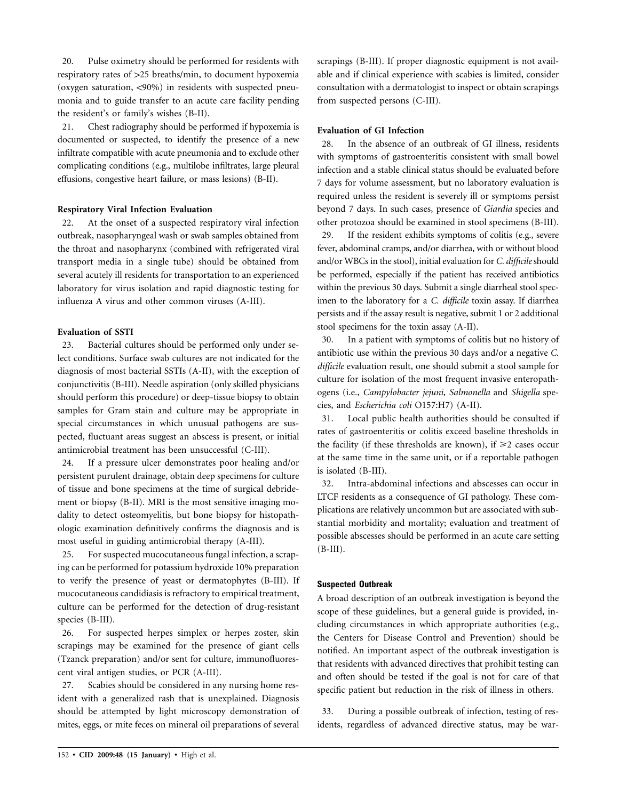20. Pulse oximetry should be performed for residents with respiratory rates of  $>25$  breaths/min, to document hypoxemia (oxygen saturation,  $\langle 90\% \rangle$  in residents with suspected pneumonia and to guide transfer to an acute care facility pending the resident's or family's wishes (B-II).

21. Chest radiography should be performed if hypoxemia is documented or suspected, to identify the presence of a new infiltrate compatible with acute pneumonia and to exclude other complicating conditions (e.g., multilobe infiltrates, large pleural effusions, congestive heart failure, or mass lesions) (B-II).

# **Respiratory Viral Infection Evaluation**

22. At the onset of a suspected respiratory viral infection outbreak, nasopharyngeal wash or swab samples obtained from the throat and nasopharynx (combined with refrigerated viral transport media in a single tube) should be obtained from several acutely ill residents for transportation to an experienced laboratory for virus isolation and rapid diagnostic testing for influenza A virus and other common viruses (A-III).

## **Evaluation of SSTI**

23. Bacterial cultures should be performed only under select conditions. Surface swab cultures are not indicated for the diagnosis of most bacterial SSTIs (A-II), with the exception of conjunctivitis (B-III). Needle aspiration (only skilled physicians should perform this procedure) or deep-tissue biopsy to obtain samples for Gram stain and culture may be appropriate in special circumstances in which unusual pathogens are suspected, fluctuant areas suggest an abscess is present, or initial antimicrobial treatment has been unsuccessful (C-III).

24. If a pressure ulcer demonstrates poor healing and/or persistent purulent drainage, obtain deep specimens for culture of tissue and bone specimens at the time of surgical debridement or biopsy (B-II). MRI is the most sensitive imaging modality to detect osteomyelitis, but bone biopsy for histopathologic examination definitively confirms the diagnosis and is most useful in guiding antimicrobial therapy (A-III).

25. For suspected mucocutaneous fungal infection, a scraping can be performed for potassium hydroxide 10% preparation to verify the presence of yeast or dermatophytes (B-III). If mucocutaneous candidiasis is refractory to empirical treatment, culture can be performed for the detection of drug-resistant species (B-III).

26. For suspected herpes simplex or herpes zoster, skin scrapings may be examined for the presence of giant cells (Tzanck preparation) and/or sent for culture, immunofluorescent viral antigen studies, or PCR (A-III).

27. Scabies should be considered in any nursing home resident with a generalized rash that is unexplained. Diagnosis should be attempted by light microscopy demonstration of mites, eggs, or mite feces on mineral oil preparations of several scrapings (B-III). If proper diagnostic equipment is not available and if clinical experience with scabies is limited, consider consultation with a dermatologist to inspect or obtain scrapings from suspected persons (C-III).

#### **Evaluation of GI Infection**

28. In the absence of an outbreak of GI illness, residents with symptoms of gastroenteritis consistent with small bowel infection and a stable clinical status should be evaluated before 7 days for volume assessment, but no laboratory evaluation is required unless the resident is severely ill or symptoms persist beyond 7 days. In such cases, presence of *Giardia* species and other protozoa should be examined in stool specimens (B-III).

29. If the resident exhibits symptoms of colitis (e.g., severe fever, abdominal cramps, and/or diarrhea, with or without blood and/or WBCs in the stool), initial evaluation for *C. difficile*should be performed, especially if the patient has received antibiotics within the previous 30 days. Submit a single diarrheal stool specimen to the laboratory for a *C. difficile* toxin assay. If diarrhea persists and if the assay result is negative, submit 1 or 2 additional stool specimens for the toxin assay (A-II).

30. In a patient with symptoms of colitis but no history of antibiotic use within the previous 30 days and/or a negative *C. difficile* evaluation result, one should submit a stool sample for culture for isolation of the most frequent invasive enteropathogens (i.e., *Campylobacter jejuni, Salmonella* and *Shigella* species, and *Escherichia coli* O157:H7) (A-II).

31. Local public health authorities should be consulted if rates of gastroenteritis or colitis exceed baseline thresholds in the facility (if these thresholds are known), if  $\geq 2$  cases occur at the same time in the same unit, or if a reportable pathogen is isolated (B-III).

32. Intra-abdominal infections and abscesses can occur in LTCF residents as a consequence of GI pathology. These complications are relatively uncommon but are associated with substantial morbidity and mortality; evaluation and treatment of possible abscesses should be performed in an acute care setting  $(B-III).$ 

#### **Suspected Outbreak**

A broad description of an outbreak investigation is beyond the scope of these guidelines, but a general guide is provided, including circumstances in which appropriate authorities (e.g., the Centers for Disease Control and Prevention) should be notified. An important aspect of the outbreak investigation is that residents with advanced directives that prohibit testing can and often should be tested if the goal is not for care of that specific patient but reduction in the risk of illness in others.

33. During a possible outbreak of infection, testing of residents, regardless of advanced directive status, may be war-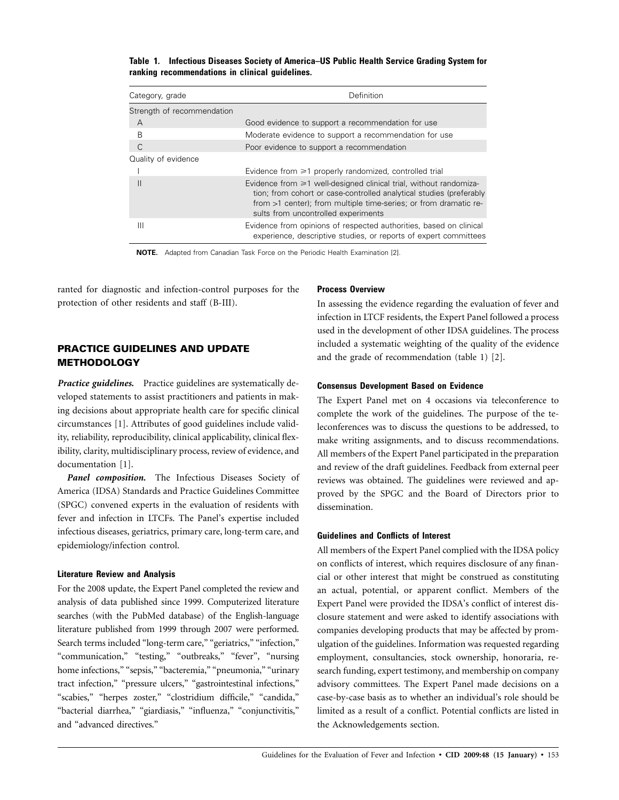**Table 1. Infectious Diseases Society of America–US Public Health Service Grading System for ranking recommendations in clinical guidelines.**

| Category, grade            | Definition                                                                                                                                                                                                                                                |
|----------------------------|-----------------------------------------------------------------------------------------------------------------------------------------------------------------------------------------------------------------------------------------------------------|
| Strength of recommendation |                                                                                                                                                                                                                                                           |
| А                          | Good evidence to support a recommendation for use                                                                                                                                                                                                         |
| B                          | Moderate evidence to support a recommendation for use                                                                                                                                                                                                     |
| C                          | Poor evidence to support a recommendation                                                                                                                                                                                                                 |
| Quality of evidence        |                                                                                                                                                                                                                                                           |
|                            | Evidence from $\geq 1$ properly randomized, controlled trial                                                                                                                                                                                              |
| $\mathsf{II}$              | Evidence from $\geq 1$ well-designed clinical trial, without randomiza-<br>tion; from cohort or case-controlled analytical studies (preferably<br>from >1 center); from multiple time-series; or from dramatic re-<br>sults from uncontrolled experiments |
| Ш                          | Evidence from opinions of respected authorities, based on clinical<br>experience, descriptive studies, or reports of expert committees                                                                                                                    |

**NOTE.** Adapted from Canadian Task Force on the Periodic Health Examination [2].

ranted for diagnostic and infection-control purposes for the protection of other residents and staff (B-III).

# **PRACTICE GUIDELINES AND UPDATE METHODOLOGY**

*Practice guidelines.* Practice guidelines are systematically developed statements to assist practitioners and patients in making decisions about appropriate health care for specific clinical circumstances [1]. Attributes of good guidelines include validity, reliability, reproducibility, clinical applicability, clinical flexibility, clarity, multidisciplinary process, review of evidence, and documentation [1].

*Panel composition.* The Infectious Diseases Society of America (IDSA) Standards and Practice Guidelines Committee (SPGC) convened experts in the evaluation of residents with fever and infection in LTCFs. The Panel's expertise included infectious diseases, geriatrics, primary care, long-term care, and epidemiology/infection control.

#### **Literature Review and Analysis**

For the 2008 update, the Expert Panel completed the review and analysis of data published since 1999. Computerized literature searches (with the PubMed database) of the English-language literature published from 1999 through 2007 were performed. Search terms included "long-term care," "geriatrics," "infection," "communication," "testing," "outbreaks," "fever", "nursing home infections," "sepsis," "bacteremia," "pneumonia," "urinary tract infection," "pressure ulcers," "gastrointestinal infections," "scabies," "herpes zoster," "clostridium difficile," "candida," "bacterial diarrhea," "giardiasis," "influenza," "conjunctivitis," and "advanced directives."

# **Process Overview**

In assessing the evidence regarding the evaluation of fever and infection in LTCF residents, the Expert Panel followed a process used in the development of other IDSA guidelines. The process included a systematic weighting of the quality of the evidence and the grade of recommendation (table 1) [2].

#### **Consensus Development Based on Evidence**

The Expert Panel met on 4 occasions via teleconference to complete the work of the guidelines. The purpose of the teleconferences was to discuss the questions to be addressed, to make writing assignments, and to discuss recommendations. All members of the Expert Panel participated in the preparation and review of the draft guidelines. Feedback from external peer reviews was obtained. The guidelines were reviewed and approved by the SPGC and the Board of Directors prior to dissemination.

#### **Guidelines and Conflicts of Interest**

All members of the Expert Panel complied with the IDSA policy on conflicts of interest, which requires disclosure of any financial or other interest that might be construed as constituting an actual, potential, or apparent conflict. Members of the Expert Panel were provided the IDSA's conflict of interest disclosure statement and were asked to identify associations with companies developing products that may be affected by promulgation of the guidelines. Information was requested regarding employment, consultancies, stock ownership, honoraria, research funding, expert testimony, and membership on company advisory committees. The Expert Panel made decisions on a case-by-case basis as to whether an individual's role should be limited as a result of a conflict. Potential conflicts are listed in the Acknowledgements section.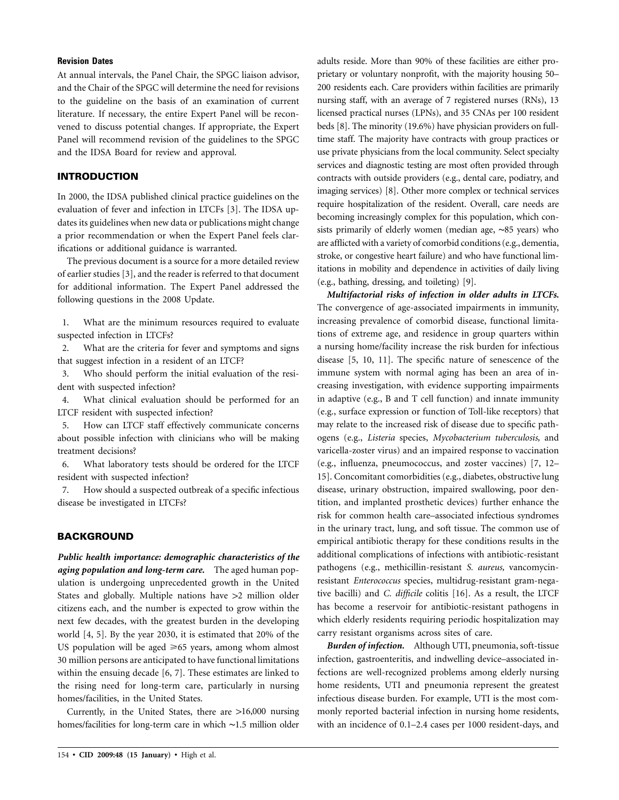# **Revision Dates**

At annual intervals, the Panel Chair, the SPGC liaison advisor, and the Chair of the SPGC will determine the need for revisions to the guideline on the basis of an examination of current literature. If necessary, the entire Expert Panel will be reconvened to discuss potential changes. If appropriate, the Expert Panel will recommend revision of the guidelines to the SPGC and the IDSA Board for review and approval.

## **INTRODUCTION**

In 2000, the IDSA published clinical practice guidelines on the evaluation of fever and infection in LTCFs [3]. The IDSA updates its guidelines when new data or publications might change a prior recommendation or when the Expert Panel feels clarifications or additional guidance is warranted.

The previous document is a source for a more detailed review of earlier studies [3], and the reader is referred to that document for additional information. The Expert Panel addressed the following questions in the 2008 Update.

1. What are the minimum resources required to evaluate suspected infection in LTCFs?

2. What are the criteria for fever and symptoms and signs that suggest infection in a resident of an LTCF?

3. Who should perform the initial evaluation of the resident with suspected infection?

4. What clinical evaluation should be performed for an LTCF resident with suspected infection?

5. How can LTCF staff effectively communicate concerns about possible infection with clinicians who will be making treatment decisions?

6. What laboratory tests should be ordered for the LTCF resident with suspected infection?

7. How should a suspected outbreak of a specific infectious disease be investigated in LTCFs?

# **BACKGROUND**

*Public health importance: demographic characteristics of the aging population and long-term care.* The aged human population is undergoing unprecedented growth in the United States and globally. Multiple nations have  $>2$  million older citizens each, and the number is expected to grow within the next few decades, with the greatest burden in the developing world [4, 5]. By the year 2030, it is estimated that 20% of the US population will be aged  $\geq 65$  years, among whom almost 30 million persons are anticipated to have functional limitations within the ensuing decade [6, 7]. These estimates are linked to the rising need for long-term care, particularly in nursing homes/facilities, in the United States.

Currently, in the United States, there are  $>16,000$  nursing homes/facilities for long-term care in which ∼1.5 million older

adults reside. More than 90% of these facilities are either proprietary or voluntary nonprofit, with the majority housing 50– 200 residents each. Care providers within facilities are primarily nursing staff, with an average of 7 registered nurses (RNs), 13 licensed practical nurses (LPNs), and 35 CNAs per 100 resident beds [8]. The minority (19.6%) have physician providers on fulltime staff. The majority have contracts with group practices or use private physicians from the local community. Select specialty services and diagnostic testing are most often provided through contracts with outside providers (e.g., dental care, podiatry, and imaging services) [8]. Other more complex or technical services require hospitalization of the resident. Overall, care needs are becoming increasingly complex for this population, which consists primarily of elderly women (median age, ∼85 years) who are afflicted with a variety of comorbid conditions (e.g., dementia, stroke, or congestive heart failure) and who have functional limitations in mobility and dependence in activities of daily living (e.g., bathing, dressing, and toileting) [9].

*Multifactorial risks of infection in older adults in LTCFs.* The convergence of age-associated impairments in immunity, increasing prevalence of comorbid disease, functional limitations of extreme age, and residence in group quarters within a nursing home/facility increase the risk burden for infectious disease [5, 10, 11]. The specific nature of senescence of the immune system with normal aging has been an area of increasing investigation, with evidence supporting impairments in adaptive (e.g., B and T cell function) and innate immunity (e.g., surface expression or function of Toll-like receptors) that may relate to the increased risk of disease due to specific pathogens (e.g., *Listeria* species, *Mycobacterium tuberculosis,* and varicella-zoster virus) and an impaired response to vaccination (e.g., influenza, pneumococcus, and zoster vaccines) [7, 12– 15]. Concomitant comorbidities (e.g., diabetes, obstructive lung disease, urinary obstruction, impaired swallowing, poor dentition, and implanted prosthetic devices) further enhance the risk for common health care–associated infectious syndromes in the urinary tract, lung, and soft tissue. The common use of empirical antibiotic therapy for these conditions results in the additional complications of infections with antibiotic-resistant pathogens (e.g., methicillin-resistant *S. aureus,* vancomycinresistant *Enterococcus* species, multidrug-resistant gram-negative bacilli) and *C. difficile* colitis [16]. As a result, the LTCF has become a reservoir for antibiotic-resistant pathogens in which elderly residents requiring periodic hospitalization may carry resistant organisms across sites of care.

*Burden of infection.* Although UTI, pneumonia, soft-tissue infection, gastroenteritis, and indwelling device–associated infections are well-recognized problems among elderly nursing home residents, UTI and pneumonia represent the greatest infectious disease burden. For example, UTI is the most commonly reported bacterial infection in nursing home residents, with an incidence of 0.1–2.4 cases per 1000 resident-days, and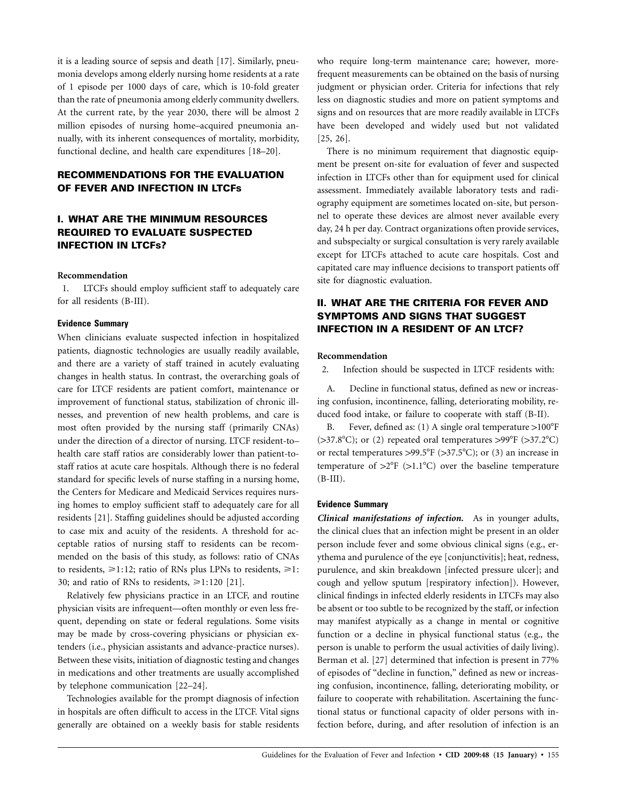it is a leading source of sepsis and death [17]. Similarly, pneumonia develops among elderly nursing home residents at a rate of 1 episode per 1000 days of care, which is 10-fold greater than the rate of pneumonia among elderly community dwellers. At the current rate, by the year 2030, there will be almost 2 million episodes of nursing home–acquired pneumonia annually, with its inherent consequences of mortality, morbidity, functional decline, and health care expenditures [18–20].

# **RECOMMENDATIONS FOR THE EVALUATION OF FEVER AND INFECTION IN LTCFS**

# **I. WHAT ARE THE MINIMUM RESOURCES REQUIRED TO EVALUATE SUSPECTED INFECTION IN LTCFS?**

#### **Recommendation**

1. LTCFs should employ sufficient staff to adequately care for all residents (B-III).

#### **Evidence Summary**

When clinicians evaluate suspected infection in hospitalized patients, diagnostic technologies are usually readily available, and there are a variety of staff trained in acutely evaluating changes in health status. In contrast, the overarching goals of care for LTCF residents are patient comfort, maintenance or improvement of functional status, stabilization of chronic illnesses, and prevention of new health problems, and care is most often provided by the nursing staff (primarily CNAs) under the direction of a director of nursing. LTCF resident-to– health care staff ratios are considerably lower than patient-tostaff ratios at acute care hospitals. Although there is no federal standard for specific levels of nurse staffing in a nursing home, the Centers for Medicare and Medicaid Services requires nursing homes to employ sufficient staff to adequately care for all residents [21]. Staffing guidelines should be adjusted according to case mix and acuity of the residents. A threshold for acceptable ratios of nursing staff to residents can be recommended on the basis of this study, as follows: ratio of CNAs to residents,  $\geq 1:12$ ; ratio of RNs plus LPNs to residents,  $\geq 1$ : 30; and ratio of RNs to residents,  $\geq 1:120$  [21].

Relatively few physicians practice in an LTCF, and routine physician visits are infrequent—often monthly or even less frequent, depending on state or federal regulations. Some visits may be made by cross-covering physicians or physician extenders (i.e., physician assistants and advance-practice nurses). Between these visits, initiation of diagnostic testing and changes in medications and other treatments are usually accomplished by telephone communication [22–24].

Technologies available for the prompt diagnosis of infection in hospitals are often difficult to access in the LTCF. Vital signs generally are obtained on a weekly basis for stable residents who require long-term maintenance care; however, morefrequent measurements can be obtained on the basis of nursing judgment or physician order. Criteria for infections that rely less on diagnostic studies and more on patient symptoms and signs and on resources that are more readily available in LTCFs have been developed and widely used but not validated [25, 26].

There is no minimum requirement that diagnostic equipment be present on-site for evaluation of fever and suspected infection in LTCFs other than for equipment used for clinical assessment. Immediately available laboratory tests and radiography equipment are sometimes located on-site, but personnel to operate these devices are almost never available every day, 24 h per day. Contract organizations often provide services, and subspecialty or surgical consultation is very rarely available except for LTCFs attached to acute care hospitals. Cost and capitated care may influence decisions to transport patients off site for diagnostic evaluation.

# **II. WHAT ARE THE CRITERIA FOR FEVER AND SYMPTOMS AND SIGNS THAT SUGGEST INFECTION IN A RESIDENT OF AN LTCF?**

# **Recommendation**

2. Infection should be suspected in LTCF residents with:

A. Decline in functional status, defined as new or increasing confusion, incontinence, falling, deteriorating mobility, reduced food intake, or failure to cooperate with staff (B-II).

B. Fever, defined as: (1) A single oral temperature  $>100^{\circ}F$  $(>37.8^{\circ}C)$ ; or (2) repeated oral temperatures  $>99^{\circ}F$  ( $>37.2^{\circ}C$ ) or rectal temperatures  $>99.5^{\circ}F$  ( $>37.5^{\circ}C$ ); or (3) an increase in temperature of  $>2^{\circ}F$  ( $>1.1^{\circ}C$ ) over the baseline temperature  $(B-III).$ 

# **Evidence Summary**

*Clinical manifestations of infection.* As in younger adults, the clinical clues that an infection might be present in an older person include fever and some obvious clinical signs (e.g., erythema and purulence of the eye [conjunctivitis]; heat, redness, purulence, and skin breakdown [infected pressure ulcer]; and cough and yellow sputum [respiratory infection]). However, clinical findings in infected elderly residents in LTCFs may also be absent or too subtle to be recognized by the staff, or infection may manifest atypically as a change in mental or cognitive function or a decline in physical functional status (e.g., the person is unable to perform the usual activities of daily living). Berman et al. [27] determined that infection is present in 77% of episodes of "decline in function," defined as new or increasing confusion, incontinence, falling, deteriorating mobility, or failure to cooperate with rehabilitation. Ascertaining the functional status or functional capacity of older persons with infection before, during, and after resolution of infection is an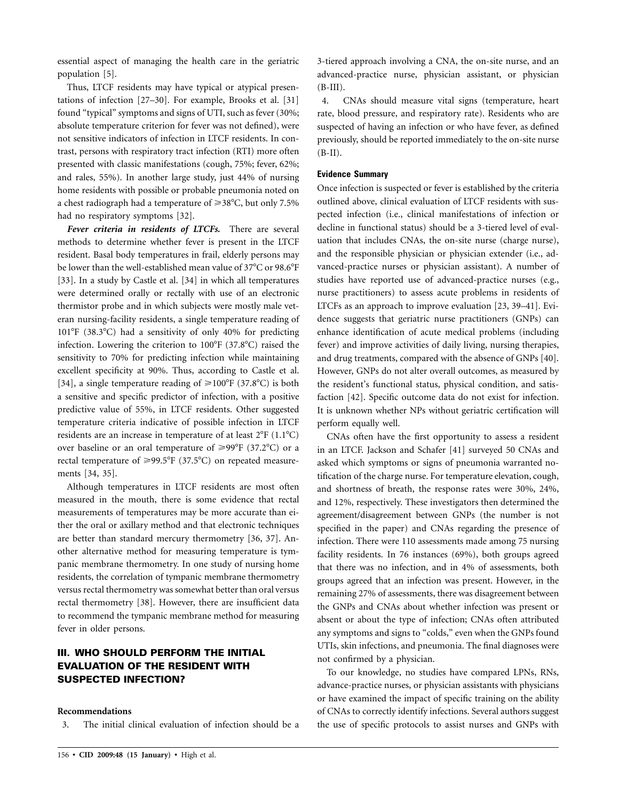essential aspect of managing the health care in the geriatric population [5].

Thus, LTCF residents may have typical or atypical presentations of infection [27–30]. For example, Brooks et al. [31] found "typical" symptoms and signs of UTI, such as fever (30%; absolute temperature criterion for fever was not defined), were not sensitive indicators of infection in LTCF residents. In contrast, persons with respiratory tract infection (RTI) more often presented with classic manifestations (cough, 75%; fever, 62%; and rales, 55%). In another large study, just 44% of nursing home residents with possible or probable pneumonia noted on a chest radiograph had a temperature of  $\geq 38^{\circ}$ C, but only 7.5% had no respiratory symptoms [32].

*Fever criteria in residents of LTCFs.* There are several methods to determine whether fever is present in the LTCF resident. Basal body temperatures in frail, elderly persons may be lower than the well-established mean value of 37°C or 98.6°F [33]. In a study by Castle et al. [34] in which all temperatures were determined orally or rectally with use of an electronic thermistor probe and in which subjects were mostly male veteran nursing-facility residents, a single temperature reading of  $101^{\circ}F$  (38.3 $^{\circ}C$ ) had a sensitivity of only 40% for predicting infection. Lowering the criterion to 100°F (37.8°C) raised the sensitivity to 70% for predicting infection while maintaining excellent specificity at 90%. Thus, according to Castle et al. [34], a single temperature reading of  $\geq 100^{\circ}$ F (37.8°C) is both a sensitive and specific predictor of infection, with a positive predictive value of 55%, in LTCF residents. Other suggested temperature criteria indicative of possible infection in LTCF residents are an increase in temperature of at least  $2^{\circ}F(1.1^{\circ}C)$ over baseline or an oral temperature of  $\geq 99^{\circ}F$  (37.2°C) or a rectal temperature of  $\geq 99.5^{\circ}F$  (37.5°C) on repeated measurements [34, 35].

Although temperatures in LTCF residents are most often measured in the mouth, there is some evidence that rectal measurements of temperatures may be more accurate than either the oral or axillary method and that electronic techniques are better than standard mercury thermometry [36, 37]. Another alternative method for measuring temperature is tympanic membrane thermometry. In one study of nursing home residents, the correlation of tympanic membrane thermometry versus rectal thermometry was somewhat better than oral versus rectal thermometry [38]. However, there are insufficient data to recommend the tympanic membrane method for measuring fever in older persons.

# **III. WHO SHOULD PERFORM THE INITIAL EVALUATION OF THE RESIDENT WITH SUSPECTED INFECTION?**

# **Recommendations**

3. The initial clinical evaluation of infection should be a

3-tiered approach involving a CNA, the on-site nurse, and an advanced-practice nurse, physician assistant, or physician (B-III).

4. CNAs should measure vital signs (temperature, heart rate, blood pressure, and respiratory rate). Residents who are suspected of having an infection or who have fever, as defined previously, should be reported immediately to the on-site nurse  $(B-II).$ 

#### **Evidence Summary**

Once infection is suspected or fever is established by the criteria outlined above, clinical evaluation of LTCF residents with suspected infection (i.e., clinical manifestations of infection or decline in functional status) should be a 3-tiered level of evaluation that includes CNAs, the on-site nurse (charge nurse), and the responsible physician or physician extender (i.e., advanced-practice nurses or physician assistant). A number of studies have reported use of advanced-practice nurses (e.g., nurse practitioners) to assess acute problems in residents of LTCFs as an approach to improve evaluation [23, 39–41]. Evidence suggests that geriatric nurse practitioners (GNPs) can enhance identification of acute medical problems (including fever) and improve activities of daily living, nursing therapies, and drug treatments, compared with the absence of GNPs [40]. However, GNPs do not alter overall outcomes, as measured by the resident's functional status, physical condition, and satisfaction [42]. Specific outcome data do not exist for infection. It is unknown whether NPs without geriatric certification will perform equally well.

CNAs often have the first opportunity to assess a resident in an LTCF. Jackson and Schafer [41] surveyed 50 CNAs and asked which symptoms or signs of pneumonia warranted notification of the charge nurse. For temperature elevation, cough, and shortness of breath, the response rates were 30%, 24%, and 12%, respectively. These investigators then determined the agreement/disagreement between GNPs (the number is not specified in the paper) and CNAs regarding the presence of infection. There were 110 assessments made among 75 nursing facility residents. In 76 instances (69%), both groups agreed that there was no infection, and in 4% of assessments, both groups agreed that an infection was present. However, in the remaining 27% of assessments, there was disagreement between the GNPs and CNAs about whether infection was present or absent or about the type of infection; CNAs often attributed any symptoms and signs to "colds," even when the GNPs found UTIs, skin infections, and pneumonia. The final diagnoses were not confirmed by a physician.

To our knowledge, no studies have compared LPNs, RNs, advance-practice nurses, or physician assistants with physicians or have examined the impact of specific training on the ability of CNAs to correctly identify infections. Several authors suggest the use of specific protocols to assist nurses and GNPs with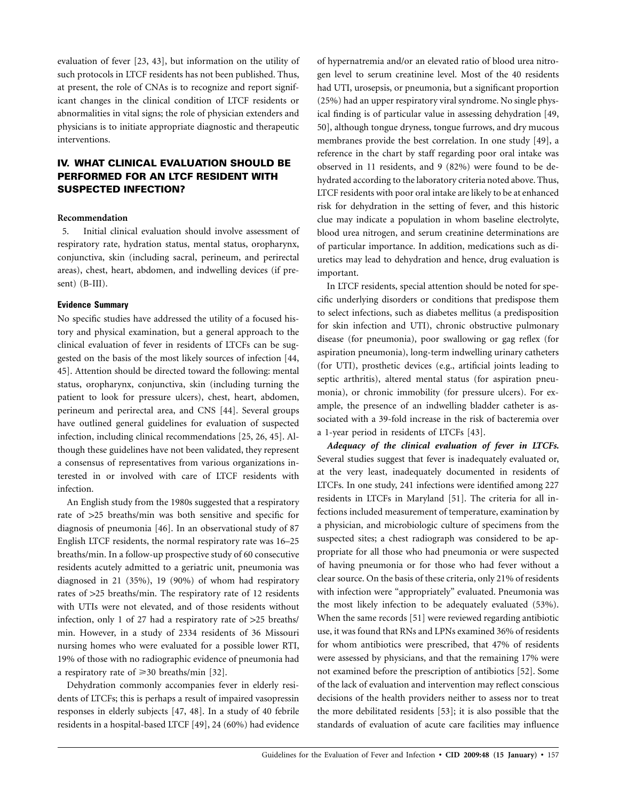evaluation of fever [23, 43], but information on the utility of such protocols in LTCF residents has not been published. Thus, at present, the role of CNAs is to recognize and report significant changes in the clinical condition of LTCF residents or abnormalities in vital signs; the role of physician extenders and physicians is to initiate appropriate diagnostic and therapeutic interventions.

# **IV. WHAT CLINICAL EVALUATION SHOULD BE PERFORMED FOR AN LTCF RESIDENT WITH SUSPECTED INFECTION?**

## **Recommendation**

5. Initial clinical evaluation should involve assessment of respiratory rate, hydration status, mental status, oropharynx, conjunctiva, skin (including sacral, perineum, and perirectal areas), chest, heart, abdomen, and indwelling devices (if present) (B-III).

#### **Evidence Summary**

No specific studies have addressed the utility of a focused history and physical examination, but a general approach to the clinical evaluation of fever in residents of LTCFs can be suggested on the basis of the most likely sources of infection [44, 45]. Attention should be directed toward the following: mental status, oropharynx, conjunctiva, skin (including turning the patient to look for pressure ulcers), chest, heart, abdomen, perineum and perirectal area, and CNS [44]. Several groups have outlined general guidelines for evaluation of suspected infection, including clinical recommendations [25, 26, 45]. Although these guidelines have not been validated, they represent a consensus of representatives from various organizations interested in or involved with care of LTCF residents with infection.

An English study from the 1980s suggested that a respiratory rate of >25 breaths/min was both sensitive and specific for diagnosis of pneumonia [46]. In an observational study of 87 English LTCF residents, the normal respiratory rate was 16–25 breaths/min. In a follow-up prospective study of 60 consecutive residents acutely admitted to a geriatric unit, pneumonia was diagnosed in 21 (35%), 19 (90%) of whom had respiratory rates of  $>$ 25 breaths/min. The respiratory rate of 12 residents with UTIs were not elevated, and of those residents without infection, only 1 of 27 had a respiratory rate of  $>25$  breaths/ min. However, in a study of 2334 residents of 36 Missouri nursing homes who were evaluated for a possible lower RTI, 19% of those with no radiographic evidence of pneumonia had a respiratory rate of  $\geq 30$  breaths/min [32].

Dehydration commonly accompanies fever in elderly residents of LTCFs; this is perhaps a result of impaired vasopressin responses in elderly subjects [47, 48]. In a study of 40 febrile residents in a hospital-based LTCF [49], 24 (60%) had evidence

of hypernatremia and/or an elevated ratio of blood urea nitrogen level to serum creatinine level. Most of the 40 residents had UTI, urosepsis, or pneumonia, but a significant proportion (25%) had an upper respiratory viral syndrome. No single physical finding is of particular value in assessing dehydration [49, 50], although tongue dryness, tongue furrows, and dry mucous membranes provide the best correlation. In one study [49], a reference in the chart by staff regarding poor oral intake was observed in 11 residents, and 9 (82%) were found to be dehydrated according to the laboratory criteria noted above. Thus, LTCF residents with poor oral intake are likely to be at enhanced risk for dehydration in the setting of fever, and this historic clue may indicate a population in whom baseline electrolyte, blood urea nitrogen, and serum creatinine determinations are of particular importance. In addition, medications such as diuretics may lead to dehydration and hence, drug evaluation is important.

In LTCF residents, special attention should be noted for specific underlying disorders or conditions that predispose them to select infections, such as diabetes mellitus (a predisposition for skin infection and UTI), chronic obstructive pulmonary disease (for pneumonia), poor swallowing or gag reflex (for aspiration pneumonia), long-term indwelling urinary catheters (for UTI), prosthetic devices (e.g., artificial joints leading to septic arthritis), altered mental status (for aspiration pneumonia), or chronic immobility (for pressure ulcers). For example, the presence of an indwelling bladder catheter is associated with a 39-fold increase in the risk of bacteremia over a 1-year period in residents of LTCFs [43].

*Adequacy of the clinical evaluation of fever in LTCFs.* Several studies suggest that fever is inadequately evaluated or, at the very least, inadequately documented in residents of LTCFs. In one study, 241 infections were identified among 227 residents in LTCFs in Maryland [51]. The criteria for all infections included measurement of temperature, examination by a physician, and microbiologic culture of specimens from the suspected sites; a chest radiograph was considered to be appropriate for all those who had pneumonia or were suspected of having pneumonia or for those who had fever without a clear source. On the basis of these criteria, only 21% of residents with infection were "appropriately" evaluated. Pneumonia was the most likely infection to be adequately evaluated (53%). When the same records [51] were reviewed regarding antibiotic use, it was found that RNs and LPNs examined 36% of residents for whom antibiotics were prescribed, that 47% of residents were assessed by physicians, and that the remaining 17% were not examined before the prescription of antibiotics [52]. Some of the lack of evaluation and intervention may reflect conscious decisions of the health providers neither to assess nor to treat the more debilitated residents [53]; it is also possible that the standards of evaluation of acute care facilities may influence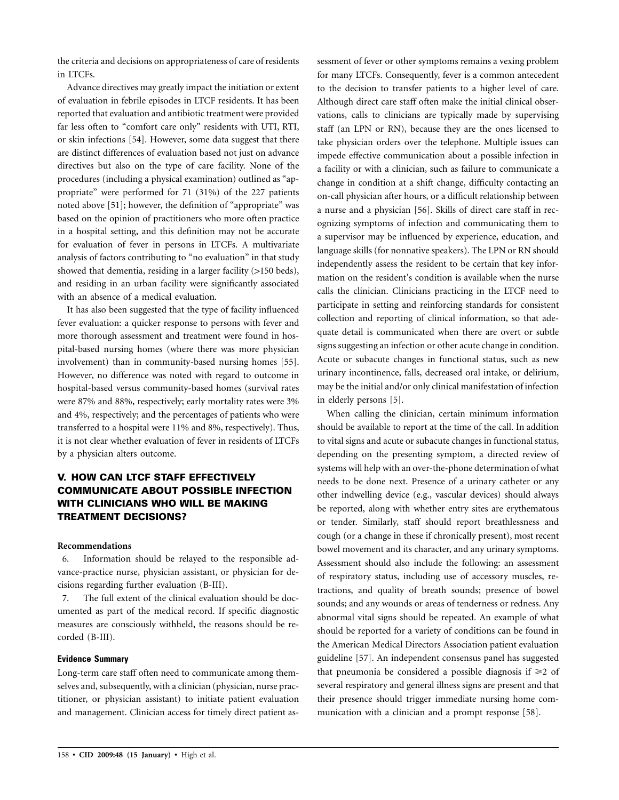the criteria and decisions on appropriateness of care of residents in LTCFs.

Advance directives may greatly impact the initiation or extent of evaluation in febrile episodes in LTCF residents. It has been reported that evaluation and antibiotic treatment were provided far less often to "comfort care only" residents with UTI, RTI, or skin infections [54]. However, some data suggest that there are distinct differences of evaluation based not just on advance directives but also on the type of care facility. None of the procedures (including a physical examination) outlined as "appropriate" were performed for 71 (31%) of the 227 patients noted above [51]; however, the definition of "appropriate" was based on the opinion of practitioners who more often practice in a hospital setting, and this definition may not be accurate for evaluation of fever in persons in LTCFs. A multivariate analysis of factors contributing to "no evaluation" in that study showed that dementia, residing in a larger facility  $(>150$  beds), and residing in an urban facility were significantly associated with an absence of a medical evaluation.

It has also been suggested that the type of facility influenced fever evaluation: a quicker response to persons with fever and more thorough assessment and treatment were found in hospital-based nursing homes (where there was more physician involvement) than in community-based nursing homes [55]. However, no difference was noted with regard to outcome in hospital-based versus community-based homes (survival rates were 87% and 88%, respectively; early mortality rates were 3% and 4%, respectively; and the percentages of patients who were transferred to a hospital were 11% and 8%, respectively). Thus, it is not clear whether evaluation of fever in residents of LTCFs by a physician alters outcome.

# **V. HOW CAN LTCF STAFF EFFECTIVELY COMMUNICATE ABOUT POSSIBLE INFECTION WITH CLINICIANS WHO WILL BE MAKING TREATMENT DECISIONS?**

# **Recommendations**

6. Information should be relayed to the responsible advance-practice nurse, physician assistant, or physician for decisions regarding further evaluation (B-III).

7. The full extent of the clinical evaluation should be documented as part of the medical record. If specific diagnostic measures are consciously withheld, the reasons should be recorded (B-III).

# **Evidence Summary**

Long-term care staff often need to communicate among themselves and, subsequently, with a clinician (physician, nurse practitioner, or physician assistant) to initiate patient evaluation and management. Clinician access for timely direct patient as-

sessment of fever or other symptoms remains a vexing problem for many LTCFs. Consequently, fever is a common antecedent to the decision to transfer patients to a higher level of care. Although direct care staff often make the initial clinical observations, calls to clinicians are typically made by supervising staff (an LPN or RN), because they are the ones licensed to take physician orders over the telephone. Multiple issues can impede effective communication about a possible infection in a facility or with a clinician, such as failure to communicate a change in condition at a shift change, difficulty contacting an on-call physician after hours, or a difficult relationship between a nurse and a physician [56]. Skills of direct care staff in recognizing symptoms of infection and communicating them to a supervisor may be influenced by experience, education, and language skills (for nonnative speakers). The LPN or RN should independently assess the resident to be certain that key information on the resident's condition is available when the nurse calls the clinician. Clinicians practicing in the LTCF need to participate in setting and reinforcing standards for consistent collection and reporting of clinical information, so that adequate detail is communicated when there are overt or subtle signs suggesting an infection or other acute change in condition. Acute or subacute changes in functional status, such as new urinary incontinence, falls, decreased oral intake, or delirium, may be the initial and/or only clinical manifestation of infection in elderly persons [5].

When calling the clinician, certain minimum information should be available to report at the time of the call. In addition to vital signs and acute or subacute changes in functional status, depending on the presenting symptom, a directed review of systems will help with an over-the-phone determination of what needs to be done next. Presence of a urinary catheter or any other indwelling device (e.g., vascular devices) should always be reported, along with whether entry sites are erythematous or tender. Similarly, staff should report breathlessness and cough (or a change in these if chronically present), most recent bowel movement and its character, and any urinary symptoms. Assessment should also include the following: an assessment of respiratory status, including use of accessory muscles, retractions, and quality of breath sounds; presence of bowel sounds; and any wounds or areas of tenderness or redness. Any abnormal vital signs should be repeated. An example of what should be reported for a variety of conditions can be found in the American Medical Directors Association patient evaluation guideline [57]. An independent consensus panel has suggested that pneumonia be considered a possible diagnosis if  $\geq 2$  of several respiratory and general illness signs are present and that their presence should trigger immediate nursing home communication with a clinician and a prompt response [58].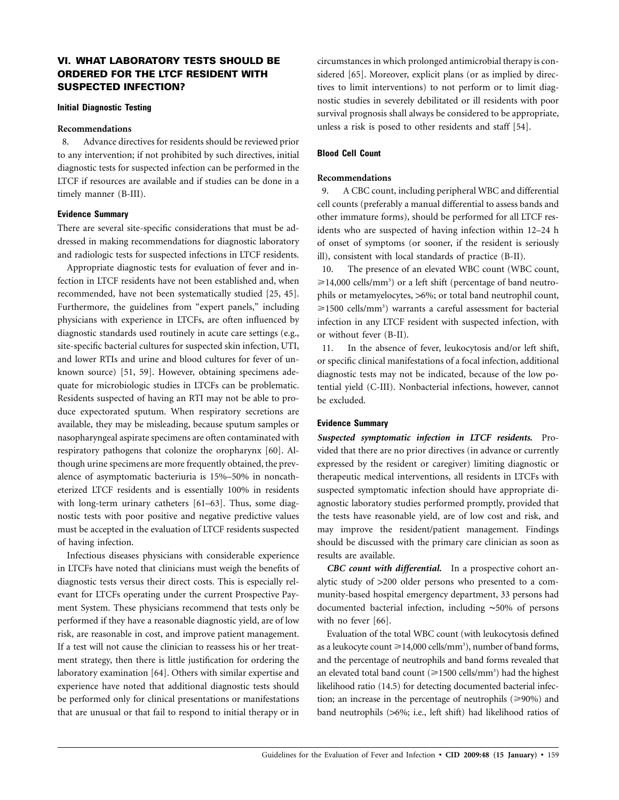# **VI. WHAT LABORATORY TESTS SHOULD BE ORDERED FOR THE LTCF RESIDENT WITH SUSPECTED INFECTION?**

#### **Initial Diagnostic Testing**

## **Recommendations**

8. Advance directives for residents should be reviewed prior to any intervention; if not prohibited by such directives, initial diagnostic tests for suspected infection can be performed in the LTCF if resources are available and if studies can be done in a timely manner (B-III).

#### **Evidence Summary**

There are several site-specific considerations that must be addressed in making recommendations for diagnostic laboratory and radiologic tests for suspected infections in LTCF residents.

Appropriate diagnostic tests for evaluation of fever and infection in LTCF residents have not been established and, when recommended, have not been systematically studied [25, 45]. Furthermore, the guidelines from "expert panels," including physicians with experience in LTCFs, are often influenced by diagnostic standards used routinely in acute care settings (e.g., site-specific bacterial cultures for suspected skin infection, UTI, and lower RTIs and urine and blood cultures for fever of unknown source) [51, 59]. However, obtaining specimens adequate for microbiologic studies in LTCFs can be problematic. Residents suspected of having an RTI may not be able to produce expectorated sputum. When respiratory secretions are available, they may be misleading, because sputum samples or nasopharyngeal aspirate specimens are often contaminated with respiratory pathogens that colonize the oropharynx [60]. Although urine specimens are more frequently obtained, the prevalence of asymptomatic bacteriuria is 15%–50% in noncatheterized LTCF residents and is essentially 100% in residents with long-term urinary catheters [61–63]. Thus, some diagnostic tests with poor positive and negative predictive values must be accepted in the evaluation of LTCF residents suspected of having infection.

Infectious diseases physicians with considerable experience in LTCFs have noted that clinicians must weigh the benefits of diagnostic tests versus their direct costs. This is especially relevant for LTCFs operating under the current Prospective Payment System. These physicians recommend that tests only be performed if they have a reasonable diagnostic yield, are of low risk, are reasonable in cost, and improve patient management. If a test will not cause the clinician to reassess his or her treatment strategy, then there is little justification for ordering the laboratory examination [64]. Others with similar expertise and experience have noted that additional diagnostic tests should be performed only for clinical presentations or manifestations that are unusual or that fail to respond to initial therapy or in circumstances in which prolonged antimicrobial therapy is considered [65]. Moreover, explicit plans (or as implied by directives to limit interventions) to not perform or to limit diagnostic studies in severely debilitated or ill residents with poor survival prognosis shall always be considered to be appropriate, unless a risk is posed to other residents and staff [54].

# **Blood Cell Count**

# **Recommendations**

9. A CBC count, including peripheral WBC and differential cell counts (preferably a manual differential to assess bands and other immature forms), should be performed for all LTCF residents who are suspected of having infection within 12–24 h of onset of symptoms (or sooner, if the resident is seriously ill), consistent with local standards of practice (B-II).

10. The presence of an elevated WBC count (WBC count,  $\geq$ 14,000 cells/mm<sup>3</sup>) or a left shift (percentage of band neutrophils or metamyelocytes, >6%; or total band neutrophil count,  $\geq$ 1500 cells/mm<sup>3</sup>) warrants a careful assessment for bacterial infection in any LTCF resident with suspected infection, with or without fever (B-II).

11. In the absence of fever, leukocytosis and/or left shift, or specific clinical manifestations of a focal infection, additional diagnostic tests may not be indicated, because of the low potential yield (C-III). Nonbacterial infections, however, cannot be excluded.

# **Evidence Summary**

*Suspected symptomatic infection in LTCF residents.* Provided that there are no prior directives (in advance or currently expressed by the resident or caregiver) limiting diagnostic or therapeutic medical interventions, all residents in LTCFs with suspected symptomatic infection should have appropriate diagnostic laboratory studies performed promptly, provided that the tests have reasonable yield, are of low cost and risk, and may improve the resident/patient management. Findings should be discussed with the primary care clinician as soon as results are available.

*CBC count with differential.* In a prospective cohort analytic study of  $>200$  older persons who presented to a community-based hospital emergency department, 33 persons had documented bacterial infection, including ∼50% of persons with no fever [66].

Evaluation of the total WBC count (with leukocytosis defined as a leukocyte count  $\geq 14,000$  cells/mm<sup>3</sup>), number of band forms, and the percentage of neutrophils and band forms revealed that an elevated total band count ( $\geq$ 1500 cells/mm<sup>3</sup>) had the highest likelihood ratio (14.5) for detecting documented bacterial infection; an increase in the percentage of neutrophils  $(\geq 90\%)$  and band neutrophils (>6%; i.e., left shift) had likelihood ratios of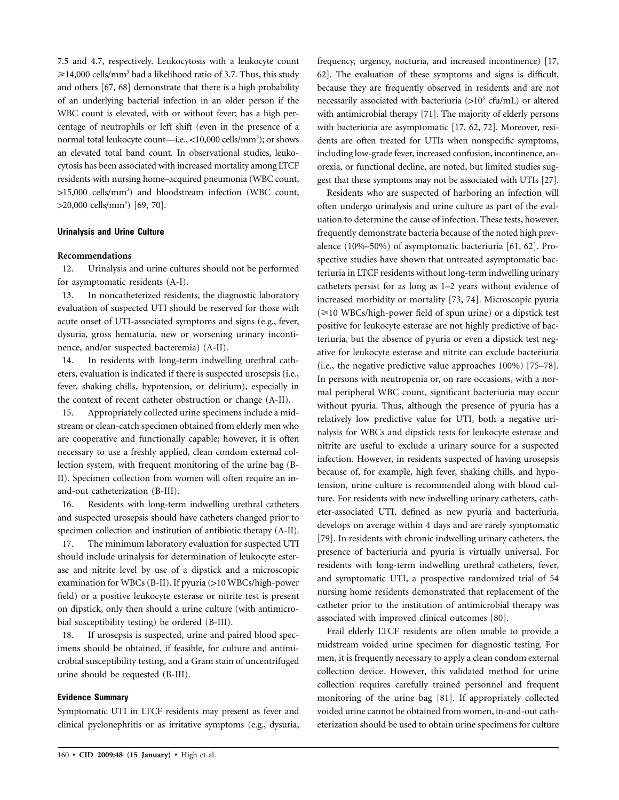7.5 and 4.7, respectively. Leukocytosis with a leukocyte count  $\geq 14,000$  cells/mm<sup>3</sup> had a likelihood ratio of 3.7. Thus, this study and others [67, 68] demonstrate that there is a high probability of an underlying bacterial infection in an older person if the WBC count is elevated, with or without fever; has a high percentage of neutrophils or left shift (even in the presence of a normal total leukocyte count—i.e., <10,000 cells/mm<sup>3</sup>); or shows an elevated total band count. In observational studies, leukocytosis has been associated with increased mortality among LTCF residents with nursing home–acquired pneumonia (WBC count, >15,000 cells/mm<sup>3</sup>) and bloodstream infection (WBC count, >20,000 cells/mm<sup>3</sup>) [69, 70].

#### **Urinalysis and Urine Culture**

#### **Recommendations**

12. Urinalysis and urine cultures should not be performed for asymptomatic residents (A-I).

13. In noncatheterized residents, the diagnostic laboratory evaluation of suspected UTI should be reserved for those with acute onset of UTI-associated symptoms and signs (e.g., fever, dysuria, gross hematuria, new or worsening urinary incontinence, and/or suspected bacteremia) (A-II).

14. In residents with long-term indwelling urethral catheters, evaluation is indicated if there is suspected urosepsis (i.e., fever, shaking chills, hypotension, or delirium), especially in the context of recent catheter obstruction or change (A-II).

15. Appropriately collected urine specimens include a midstream or clean-catch specimen obtained from elderly men who are cooperative and functionally capable; however, it is often necessary to use a freshly applied, clean condom external collection system, with frequent monitoring of the urine bag (B-II). Specimen collection from women will often require an inand-out catheterization (B-III).

16. Residents with long-term indwelling urethral catheters and suspected urosepsis should have catheters changed prior to specimen collection and institution of antibiotic therapy (A-II).

17. The minimum laboratory evaluation for suspected UTI should include urinalysis for determination of leukocyte esterase and nitrite level by use of a dipstick and a microscopic examination for WBCs (B-II). If pyuria (>10 WBCs/high-power field) or a positive leukocyte esterase or nitrite test is present on dipstick, only then should a urine culture (with antimicrobial susceptibility testing) be ordered (B-III).

18. If urosepsis is suspected, urine and paired blood specimens should be obtained, if feasible, for culture and antimicrobial susceptibility testing, and a Gram stain of uncentrifuged urine should be requested (B-III).

# **Evidence Summary**

Symptomatic UTI in LTCF residents may present as fever and clinical pyelonephritis or as irritative symptoms (e.g., dysuria, frequency, urgency, nocturia, and increased incontinence) [17, 62]. The evaluation of these symptoms and signs is difficult, because they are frequently observed in residents and are not necessarily associated with bacteriuria  $(>10^5 \text{ cfu/mL})$  or altered with antimicrobial therapy [71]. The majority of elderly persons with bacteriuria are asymptomatic [17, 62, 72]. Moreover, residents are often treated for UTIs when nonspecific symptoms, including low-grade fever, increased confusion, incontinence, anorexia, or functional decline, are noted, but limited studies suggest that these symptoms may not be associated with UTIs [27].

Residents who are suspected of harboring an infection will often undergo urinalysis and urine culture as part of the evaluation to determine the cause of infection. These tests, however, frequently demonstrate bacteria because of the noted high prevalence (10%–50%) of asymptomatic bacteriuria [61, 62]. Prospective studies have shown that untreated asymptomatic bacteriuria in LTCF residents without long-term indwelling urinary catheters persist for as long as 1–2 years without evidence of increased morbidity or mortality [73, 74]. Microscopic pyuria  $\approx$  10 WBCs/high-power field of spun urine) or a dipstick test positive for leukocyte esterase are not highly predictive of bacteriuria, but the absence of pyuria or even a dipstick test negative for leukocyte esterase and nitrite can exclude bacteriuria (i.e., the negative predictive value approaches 100%) [75–78]. In persons with neutropenia or, on rare occasions, with a normal peripheral WBC count, significant bacteriuria may occur without pyuria. Thus, although the presence of pyuria has a relatively low predictive value for UTI, both a negative urinalysis for WBCs and dipstick tests for leukocyte esterase and nitrite are useful to exclude a urinary source for a suspected infection. However, in residents suspected of having urosepsis because of, for example, high fever, shaking chills, and hypotension, urine culture is recommended along with blood culture. For residents with new indwelling urinary catheters, catheter-associated UTI, defined as new pyuria and bacteriuria, develops on average within 4 days and are rarely symptomatic [79]. In residents with chronic indwelling urinary catheters, the presence of bacteriuria and pyuria is virtually universal. For residents with long-term indwelling urethral catheters, fever, and symptomatic UTI, a prospective randomized trial of 54 nursing home residents demonstrated that replacement of the catheter prior to the institution of antimicrobial therapy was associated with improved clinical outcomes [80].

Frail elderly LTCF residents are often unable to provide a midstream voided urine specimen for diagnostic testing. For men, it is frequently necessary to apply a clean condom external collection device. However, this validated method for urine collection requires carefully trained personnel and frequent monitoring of the urine bag [81]. If appropriately collected voided urine cannot be obtained from women, in-and-out catheterization should be used to obtain urine specimens for culture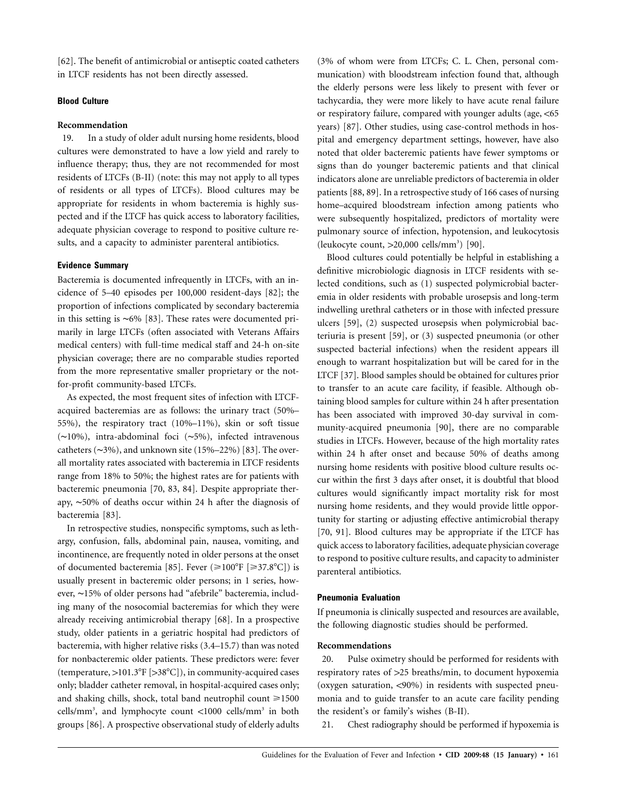[62]. The benefit of antimicrobial or antiseptic coated catheters in LTCF residents has not been directly assessed.

# **Blood Culture**

#### **Recommendation**

19. In a study of older adult nursing home residents, blood cultures were demonstrated to have a low yield and rarely to influence therapy; thus, they are not recommended for most residents of LTCFs (B-II) (note: this may not apply to all types of residents or all types of LTCFs). Blood cultures may be appropriate for residents in whom bacteremia is highly suspected and if the LTCF has quick access to laboratory facilities, adequate physician coverage to respond to positive culture results, and a capacity to administer parenteral antibiotics.

# **Evidence Summary**

Bacteremia is documented infrequently in LTCFs, with an incidence of 5–40 episodes per 100,000 resident-days [82]; the proportion of infections complicated by secondary bacteremia in this setting is ∼6% [83]. These rates were documented primarily in large LTCFs (often associated with Veterans Affairs medical centers) with full-time medical staff and 24-h on-site physician coverage; there are no comparable studies reported from the more representative smaller proprietary or the notfor-profit community-based LTCFs.

As expected, the most frequent sites of infection with LTCFacquired bacteremias are as follows: the urinary tract (50%– 55%), the respiratory tract (10%–11%), skin or soft tissue (∼10%), intra-abdominal foci (∼5%), infected intravenous catheters (∼3%), and unknown site (15%–22%) [83]. The overall mortality rates associated with bacteremia in LTCF residents range from 18% to 50%; the highest rates are for patients with bacteremic pneumonia [70, 83, 84]. Despite appropriate therapy, ∼50% of deaths occur within 24 h after the diagnosis of bacteremia [83].

In retrospective studies, nonspecific symptoms, such as lethargy, confusion, falls, abdominal pain, nausea, vomiting, and incontinence, are frequently noted in older persons at the onset of documented bacteremia [85]. Fever  $(\geq 100^{\circ}$ F [ $\geq 37.8^{\circ}$ C]) is usually present in bacteremic older persons; in 1 series, however, ∼15% of older persons had "afebrile" bacteremia, including many of the nosocomial bacteremias for which they were already receiving antimicrobial therapy [68]. In a prospective study, older patients in a geriatric hospital had predictors of bacteremia, with higher relative risks (3.4–15.7) than was noted for nonbacteremic older patients. These predictors were: fever (temperature,  $> 101.3^{\circ}F$  [ $> 38^{\circ}C$ ]), in community-acquired cases only; bladder catheter removal, in hospital-acquired cases only; and shaking chills, shock, total band neutrophil count  $\geq 1500$ cells/mm<sup>3</sup>, and lymphocyte count <1000 cells/mm<sup>3</sup> in both groups [86]. A prospective observational study of elderly adults

(3% of whom were from LTCFs; C. L. Chen, personal communication) with bloodstream infection found that, although the elderly persons were less likely to present with fever or tachycardia, they were more likely to have acute renal failure or respiratory failure, compared with younger adults (age,  $<$  65 years) [87]. Other studies, using case-control methods in hospital and emergency department settings, however, have also noted that older bacteremic patients have fewer symptoms or signs than do younger bacteremic patients and that clinical indicators alone are unreliable predictors of bacteremia in older patients [88, 89]. In a retrospective study of 166 cases of nursing home–acquired bloodstream infection among patients who were subsequently hospitalized, predictors of mortality were pulmonary source of infection, hypotension, and leukocytosis (leukocyte count,  $>20,000$  cells/mm<sup>3</sup>) [90].

Blood cultures could potentially be helpful in establishing a definitive microbiologic diagnosis in LTCF residents with selected conditions, such as (1) suspected polymicrobial bacteremia in older residents with probable urosepsis and long-term indwelling urethral catheters or in those with infected pressure ulcers [59], (2) suspected urosepsis when polymicrobial bacteriuria is present [59], or (3) suspected pneumonia (or other suspected bacterial infections) when the resident appears ill enough to warrant hospitalization but will be cared for in the LTCF [37]. Blood samples should be obtained for cultures prior to transfer to an acute care facility, if feasible. Although obtaining blood samples for culture within 24 h after presentation has been associated with improved 30-day survival in community-acquired pneumonia [90], there are no comparable studies in LTCFs. However, because of the high mortality rates within 24 h after onset and because 50% of deaths among nursing home residents with positive blood culture results occur within the first 3 days after onset, it is doubtful that blood cultures would significantly impact mortality risk for most nursing home residents, and they would provide little opportunity for starting or adjusting effective antimicrobial therapy [70, 91]. Blood cultures may be appropriate if the LTCF has quick access to laboratory facilities, adequate physician coverage to respond to positive culture results, and capacity to administer parenteral antibiotics.

#### **Pneumonia Evaluation**

If pneumonia is clinically suspected and resources are available, the following diagnostic studies should be performed.

# **Recommendations**

20. Pulse oximetry should be performed for residents with respiratory rates of >25 breaths/min, to document hypoxemia (oxygen saturation,  $\langle 90\% \rangle$  in residents with suspected pneumonia and to guide transfer to an acute care facility pending the resident's or family's wishes (B-II).

21. Chest radiography should be performed if hypoxemia is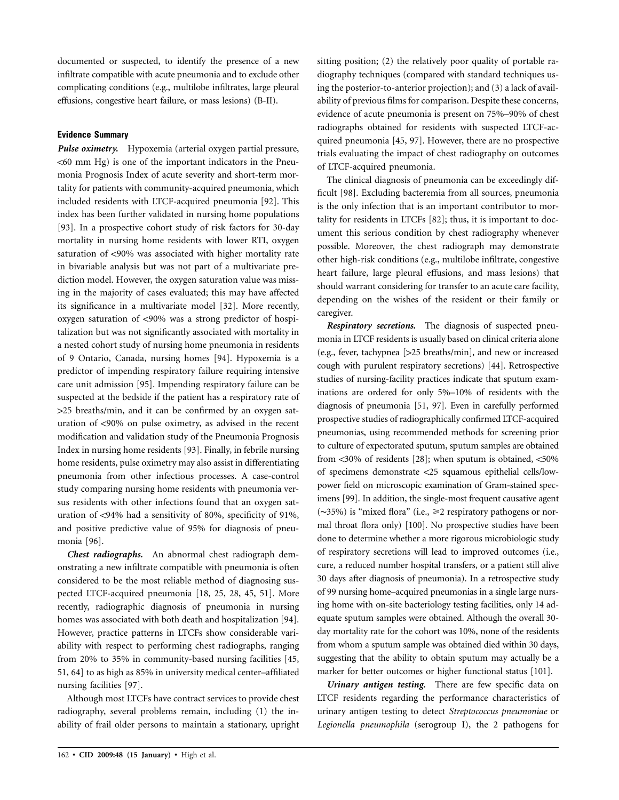documented or suspected, to identify the presence of a new infiltrate compatible with acute pneumonia and to exclude other complicating conditions (e.g., multilobe infiltrates, large pleural effusions, congestive heart failure, or mass lesions) (B-II).

# **Evidence Summary**

*Pulse oximetry.* Hypoxemia (arterial oxygen partial pressure,  $<$  60 mm Hg) is one of the important indicators in the Pneumonia Prognosis Index of acute severity and short-term mortality for patients with community-acquired pneumonia, which included residents with LTCF-acquired pneumonia [92]. This index has been further validated in nursing home populations [93]. In a prospective cohort study of risk factors for 30-day mortality in nursing home residents with lower RTI, oxygen saturation of <90% was associated with higher mortality rate in bivariable analysis but was not part of a multivariate prediction model. However, the oxygen saturation value was missing in the majority of cases evaluated; this may have affected its significance in a multivariate model [32]. More recently, oxygen saturation of <90% was a strong predictor of hospitalization but was not significantly associated with mortality in a nested cohort study of nursing home pneumonia in residents of 9 Ontario, Canada, nursing homes [94]. Hypoxemia is a predictor of impending respiratory failure requiring intensive care unit admission [95]. Impending respiratory failure can be suspected at the bedside if the patient has a respiratory rate of 125 breaths/min, and it can be confirmed by an oxygen saturation of <90% on pulse oximetry, as advised in the recent modification and validation study of the Pneumonia Prognosis Index in nursing home residents [93]. Finally, in febrile nursing home residents, pulse oximetry may also assist in differentiating pneumonia from other infectious processes. A case-control study comparing nursing home residents with pneumonia versus residents with other infections found that an oxygen saturation of <94% had a sensitivity of 80%, specificity of 91%, and positive predictive value of 95% for diagnosis of pneumonia [96].

*Chest radiographs.* An abnormal chest radiograph demonstrating a new infiltrate compatible with pneumonia is often considered to be the most reliable method of diagnosing suspected LTCF-acquired pneumonia [18, 25, 28, 45, 51]. More recently, radiographic diagnosis of pneumonia in nursing homes was associated with both death and hospitalization [94]. However, practice patterns in LTCFs show considerable variability with respect to performing chest radiographs, ranging from 20% to 35% in community-based nursing facilities [45, 51, 64] to as high as 85% in university medical center–affiliated nursing facilities [97].

Although most LTCFs have contract services to provide chest radiography, several problems remain, including (1) the inability of frail older persons to maintain a stationary, upright

sitting position; (2) the relatively poor quality of portable radiography techniques (compared with standard techniques using the posterior-to-anterior projection); and (3) a lack of availability of previous films for comparison. Despite these concerns, evidence of acute pneumonia is present on 75%–90% of chest radiographs obtained for residents with suspected LTCF-acquired pneumonia [45, 97]. However, there are no prospective trials evaluating the impact of chest radiography on outcomes of LTCF-acquired pneumonia.

The clinical diagnosis of pneumonia can be exceedingly difficult [98]. Excluding bacteremia from all sources, pneumonia is the only infection that is an important contributor to mortality for residents in LTCFs [82]; thus, it is important to document this serious condition by chest radiography whenever possible. Moreover, the chest radiograph may demonstrate other high-risk conditions (e.g., multilobe infiltrate, congestive heart failure, large pleural effusions, and mass lesions) that should warrant considering for transfer to an acute care facility, depending on the wishes of the resident or their family or caregiver.

*Respiratory secretions.* The diagnosis of suspected pneumonia in LTCF residents is usually based on clinical criteria alone (e.g., fever, tachypnea [125 breaths/min], and new or increased cough with purulent respiratory secretions) [44]. Retrospective studies of nursing-facility practices indicate that sputum examinations are ordered for only 5%–10% of residents with the diagnosis of pneumonia [51, 97]. Even in carefully performed prospective studies of radiographically confirmed LTCF-acquired pneumonias, using recommended methods for screening prior to culture of expectorated sputum, sputum samples are obtained from  $\langle 30\%$  of residents [28]; when sputum is obtained,  $\langle 50\%$ of specimens demonstrate <25 squamous epithelial cells/lowpower field on microscopic examination of Gram-stained specimens [99]. In addition, the single-most frequent causative agent (∼35%) is "mixed flora" (i.e., 2 respiratory pathogens or normal throat flora only) [100]. No prospective studies have been done to determine whether a more rigorous microbiologic study of respiratory secretions will lead to improved outcomes (i.e., cure, a reduced number hospital transfers, or a patient still alive 30 days after diagnosis of pneumonia). In a retrospective study of 99 nursing home–acquired pneumonias in a single large nursing home with on-site bacteriology testing facilities, only 14 adequate sputum samples were obtained. Although the overall 30 day mortality rate for the cohort was 10%, none of the residents from whom a sputum sample was obtained died within 30 days, suggesting that the ability to obtain sputum may actually be a marker for better outcomes or higher functional status [101].

*Urinary antigen testing.* There are few specific data on LTCF residents regarding the performance characteristics of urinary antigen testing to detect *Streptococcus pneumoniae* or *Legionella pneumophila* (serogroup I), the 2 pathogens for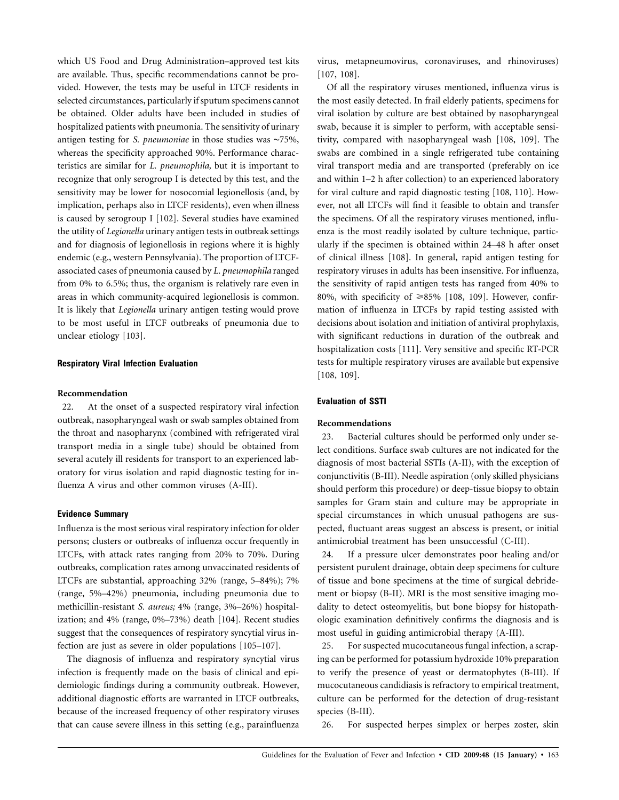which US Food and Drug Administration–approved test kits are available. Thus, specific recommendations cannot be provided. However, the tests may be useful in LTCF residents in selected circumstances, particularly if sputum specimens cannot be obtained. Older adults have been included in studies of hospitalized patients with pneumonia. The sensitivity of urinary antigen testing for *S. pneumoniae* in those studies was ∼75%, whereas the specificity approached 90%. Performance characteristics are similar for *L. pneumophila,* but it is important to recognize that only serogroup I is detected by this test, and the sensitivity may be lower for nosocomial legionellosis (and, by implication, perhaps also in LTCF residents), even when illness is caused by serogroup I [102]. Several studies have examined the utility of *Legionella* urinary antigen tests in outbreak settings and for diagnosis of legionellosis in regions where it is highly endemic (e.g., western Pennsylvania). The proportion of LTCFassociated cases of pneumonia caused by *L. pneumophila* ranged from 0% to 6.5%; thus, the organism is relatively rare even in areas in which community-acquired legionellosis is common. It is likely that *Legionella* urinary antigen testing would prove to be most useful in LTCF outbreaks of pneumonia due to unclear etiology [103].

#### **Respiratory Viral Infection Evaluation**

#### **Recommendation**

22. At the onset of a suspected respiratory viral infection outbreak, nasopharyngeal wash or swab samples obtained from the throat and nasopharynx (combined with refrigerated viral transport media in a single tube) should be obtained from several acutely ill residents for transport to an experienced laboratory for virus isolation and rapid diagnostic testing for influenza A virus and other common viruses (A-III).

#### **Evidence Summary**

Influenza is the most serious viral respiratory infection for older persons; clusters or outbreaks of influenza occur frequently in LTCFs, with attack rates ranging from 20% to 70%. During outbreaks, complication rates among unvaccinated residents of LTCFs are substantial, approaching 32% (range, 5–84%); 7% (range, 5%–42%) pneumonia, including pneumonia due to methicillin-resistant *S. aureus;* 4% (range, 3%–26%) hospitalization; and 4% (range, 0%–73%) death [104]. Recent studies suggest that the consequences of respiratory syncytial virus infection are just as severe in older populations [105–107].

The diagnosis of influenza and respiratory syncytial virus infection is frequently made on the basis of clinical and epidemiologic findings during a community outbreak. However, additional diagnostic efforts are warranted in LTCF outbreaks, because of the increased frequency of other respiratory viruses that can cause severe illness in this setting (e.g., parainfluenza

virus, metapneumovirus, coronaviruses, and rhinoviruses) [107, 108].

Of all the respiratory viruses mentioned, influenza virus is the most easily detected. In frail elderly patients, specimens for viral isolation by culture are best obtained by nasopharyngeal swab, because it is simpler to perform, with acceptable sensitivity, compared with nasopharyngeal wash [108, 109]. The swabs are combined in a single refrigerated tube containing viral transport media and are transported (preferably on ice and within 1–2 h after collection) to an experienced laboratory for viral culture and rapid diagnostic testing [108, 110]. However, not all LTCFs will find it feasible to obtain and transfer the specimens. Of all the respiratory viruses mentioned, influenza is the most readily isolated by culture technique, particularly if the specimen is obtained within 24–48 h after onset of clinical illness [108]. In general, rapid antigen testing for respiratory viruses in adults has been insensitive. For influenza, the sensitivity of rapid antigen tests has ranged from 40% to 80%, with specificity of  $\geq 85\%$  [108, 109]. However, confirmation of influenza in LTCFs by rapid testing assisted with decisions about isolation and initiation of antiviral prophylaxis, with significant reductions in duration of the outbreak and hospitalization costs [111]. Very sensitive and specific RT-PCR tests for multiple respiratory viruses are available but expensive [108, 109].

#### **Evaluation of SSTI**

#### **Recommendations**

23. Bacterial cultures should be performed only under select conditions. Surface swab cultures are not indicated for the diagnosis of most bacterial SSTIs (A-II), with the exception of conjunctivitis (B-III). Needle aspiration (only skilled physicians should perform this procedure) or deep-tissue biopsy to obtain samples for Gram stain and culture may be appropriate in special circumstances in which unusual pathogens are suspected, fluctuant areas suggest an abscess is present, or initial antimicrobial treatment has been unsuccessful (C-III).

24. If a pressure ulcer demonstrates poor healing and/or persistent purulent drainage, obtain deep specimens for culture of tissue and bone specimens at the time of surgical debridement or biopsy (B-II). MRI is the most sensitive imaging modality to detect osteomyelitis, but bone biopsy for histopathologic examination definitively confirms the diagnosis and is most useful in guiding antimicrobial therapy (A-III).

25. For suspected mucocutaneous fungal infection, a scraping can be performed for potassium hydroxide 10% preparation to verify the presence of yeast or dermatophytes (B-III). If mucocutaneous candidiasis is refractory to empirical treatment, culture can be performed for the detection of drug-resistant species (B-III).

26. For suspected herpes simplex or herpes zoster, skin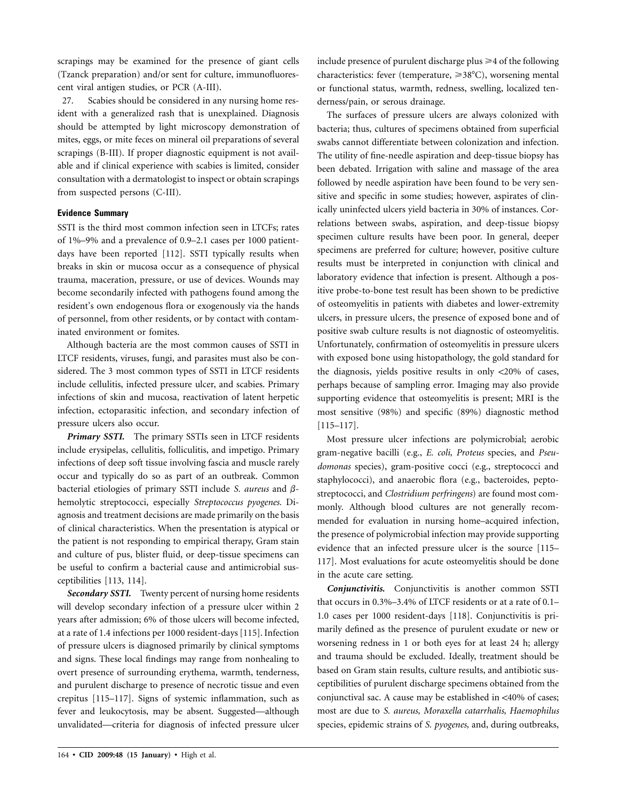scrapings may be examined for the presence of giant cells (Tzanck preparation) and/or sent for culture, immunofluorescent viral antigen studies, or PCR (A-III).

27. Scabies should be considered in any nursing home resident with a generalized rash that is unexplained. Diagnosis should be attempted by light microscopy demonstration of mites, eggs, or mite feces on mineral oil preparations of several scrapings (B-III). If proper diagnostic equipment is not available and if clinical experience with scabies is limited, consider consultation with a dermatologist to inspect or obtain scrapings from suspected persons (C-III).

# **Evidence Summary**

SSTI is the third most common infection seen in LTCFs; rates of 1%–9% and a prevalence of 0.9–2.1 cases per 1000 patientdays have been reported [112]. SSTI typically results when breaks in skin or mucosa occur as a consequence of physical trauma, maceration, pressure, or use of devices. Wounds may become secondarily infected with pathogens found among the resident's own endogenous flora or exogenously via the hands of personnel, from other residents, or by contact with contaminated environment or fomites.

Although bacteria are the most common causes of SSTI in LTCF residents, viruses, fungi, and parasites must also be considered. The 3 most common types of SSTI in LTCF residents include cellulitis, infected pressure ulcer, and scabies. Primary infections of skin and mucosa, reactivation of latent herpetic infection, ectoparasitic infection, and secondary infection of pressure ulcers also occur.

*Primary SSTI.* The primary SSTIs seen in LTCF residents include erysipelas, cellulitis, folliculitis, and impetigo. Primary infections of deep soft tissue involving fascia and muscle rarely occur and typically do so as part of an outbreak. Common bacterial etiologies of primary SSTI include *S. aureus* and  $\beta$ hemolytic streptococci, especially *Streptococcus pyogenes.* Diagnosis and treatment decisions are made primarily on the basis of clinical characteristics. When the presentation is atypical or the patient is not responding to empirical therapy, Gram stain and culture of pus, blister fluid, or deep-tissue specimens can be useful to confirm a bacterial cause and antimicrobial susceptibilities [113, 114].

*Secondary SSTI.* Twenty percent of nursing home residents will develop secondary infection of a pressure ulcer within 2 years after admission; 6% of those ulcers will become infected, at a rate of 1.4 infections per 1000 resident-days [115]. Infection of pressure ulcers is diagnosed primarily by clinical symptoms and signs. These local findings may range from nonhealing to overt presence of surrounding erythema, warmth, tenderness, and purulent discharge to presence of necrotic tissue and even crepitus [115–117]. Signs of systemic inflammation, such as fever and leukocytosis, may be absent. Suggested—although unvalidated—criteria for diagnosis of infected pressure ulcer include presence of purulent discharge plus  $\geq 4$  of the following characteristics: fever (temperature,  $\geq 38^{\circ}$ C), worsening mental or functional status, warmth, redness, swelling, localized tenderness/pain, or serous drainage.

The surfaces of pressure ulcers are always colonized with bacteria; thus, cultures of specimens obtained from superficial swabs cannot differentiate between colonization and infection. The utility of fine-needle aspiration and deep-tissue biopsy has been debated. Irrigation with saline and massage of the area followed by needle aspiration have been found to be very sensitive and specific in some studies; however, aspirates of clinically uninfected ulcers yield bacteria in 30% of instances. Correlations between swabs, aspiration, and deep-tissue biopsy specimen culture results have been poor. In general, deeper specimens are preferred for culture; however, positive culture results must be interpreted in conjunction with clinical and laboratory evidence that infection is present. Although a positive probe-to-bone test result has been shown to be predictive of osteomyelitis in patients with diabetes and lower-extremity ulcers, in pressure ulcers, the presence of exposed bone and of positive swab culture results is not diagnostic of osteomyelitis. Unfortunately, confirmation of osteomyelitis in pressure ulcers with exposed bone using histopathology, the gold standard for the diagnosis, yields positive results in only  $\langle 20\%$  of cases, perhaps because of sampling error. Imaging may also provide supporting evidence that osteomyelitis is present; MRI is the most sensitive (98%) and specific (89%) diagnostic method [115–117].

Most pressure ulcer infections are polymicrobial; aerobic gram-negative bacilli (e.g., *E. coli, Proteus* species, and *Pseudomonas* species), gram-positive cocci (e.g., streptococci and staphylococci), and anaerobic flora (e.g., bacteroides, peptostreptococci, and *Clostridium perfringens*) are found most commonly. Although blood cultures are not generally recommended for evaluation in nursing home–acquired infection, the presence of polymicrobial infection may provide supporting evidence that an infected pressure ulcer is the source [115– 117]. Most evaluations for acute osteomyelitis should be done in the acute care setting.

*Conjunctivitis.* Conjunctivitis is another common SSTI that occurs in 0.3%–3.4% of LTCF residents or at a rate of 0.1– 1.0 cases per 1000 resident-days [118]. Conjunctivitis is primarily defined as the presence of purulent exudate or new or worsening redness in 1 or both eyes for at least 24 h; allergy and trauma should be excluded. Ideally, treatment should be based on Gram stain results, culture results, and antibiotic susceptibilities of purulent discharge specimens obtained from the conjunctival sac. A cause may be established in  $<40\%$  of cases; most are due to *S. aureus, Moraxella catarrhalis, Haemophilus* species, epidemic strains of *S. pyogenes,* and, during outbreaks,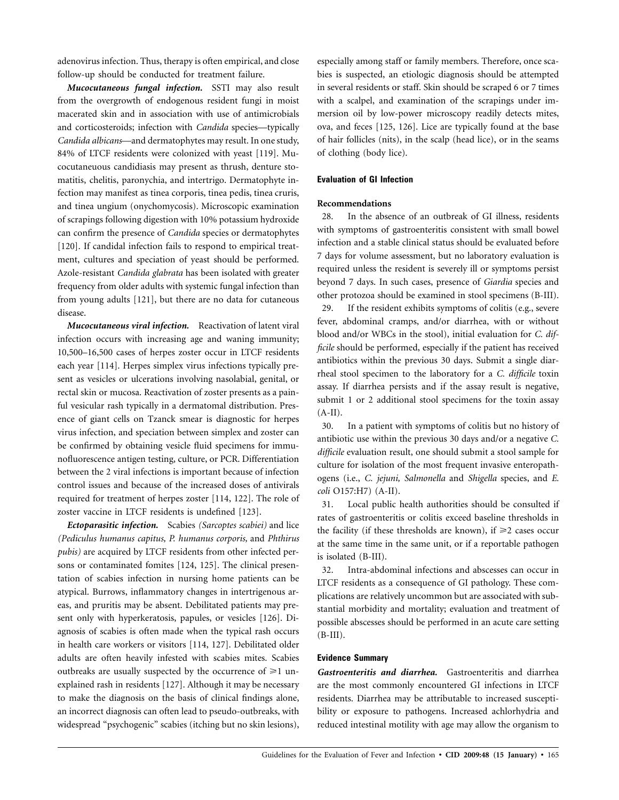adenovirus infection. Thus, therapy is often empirical, and close follow-up should be conducted for treatment failure.

*Mucocutaneous fungal infection.* SSTI may also result from the overgrowth of endogenous resident fungi in moist macerated skin and in association with use of antimicrobials and corticosteroids; infection with *Candida* species—typically *Candida albicans*—and dermatophytes may result. In one study, 84% of LTCF residents were colonized with yeast [119]. Mucocutaneuous candidiasis may present as thrush, denture stomatitis, chelitis, paronychia, and intertrigo. Dermatophyte infection may manifest as tinea corporis, tinea pedis, tinea cruris, and tinea ungium (onychomycosis). Microscopic examination of scrapings following digestion with 10% potassium hydroxide can confirm the presence of *Candida* species or dermatophytes [120]. If candidal infection fails to respond to empirical treatment, cultures and speciation of yeast should be performed. Azole-resistant *Candida glabrata* has been isolated with greater frequency from older adults with systemic fungal infection than from young adults [121], but there are no data for cutaneous disease.

*Mucocutaneous viral infection.* Reactivation of latent viral infection occurs with increasing age and waning immunity; 10,500–16,500 cases of herpes zoster occur in LTCF residents each year [114]. Herpes simplex virus infections typically present as vesicles or ulcerations involving nasolabial, genital, or rectal skin or mucosa. Reactivation of zoster presents as a painful vesicular rash typically in a dermatomal distribution. Presence of giant cells on Tzanck smear is diagnostic for herpes virus infection, and speciation between simplex and zoster can be confirmed by obtaining vesicle fluid specimens for immunofluorescence antigen testing, culture, or PCR. Differentiation between the 2 viral infections is important because of infection control issues and because of the increased doses of antivirals required for treatment of herpes zoster [114, 122]. The role of zoster vaccine in LTCF residents is undefined [123].

*Ectoparasitic infection.* Scabies *(Sarcoptes scabiei)* and lice *(Pediculus humanus capitus, P. humanus corporis,* and *Phthirus pubis)* are acquired by LTCF residents from other infected persons or contaminated fomites [124, 125]. The clinical presentation of scabies infection in nursing home patients can be atypical. Burrows, inflammatory changes in intertrigenous areas, and pruritis may be absent. Debilitated patients may present only with hyperkeratosis, papules, or vesicles [126]. Diagnosis of scabies is often made when the typical rash occurs in health care workers or visitors [114, 127]. Debilitated older adults are often heavily infested with scabies mites. Scabies outbreaks are usually suspected by the occurrence of  $\geq 1$  unexplained rash in residents [127]. Although it may be necessary to make the diagnosis on the basis of clinical findings alone, an incorrect diagnosis can often lead to pseudo-outbreaks, with widespread "psychogenic" scabies (itching but no skin lesions), especially among staff or family members. Therefore, once scabies is suspected, an etiologic diagnosis should be attempted in several residents or staff. Skin should be scraped 6 or 7 times with a scalpel, and examination of the scrapings under immersion oil by low-power microscopy readily detects mites, ova, and feces [125, 126]. Lice are typically found at the base of hair follicles (nits), in the scalp (head lice), or in the seams of clothing (body lice).

# **Evaluation of GI Infection**

# **Recommendations**

28. In the absence of an outbreak of GI illness, residents with symptoms of gastroenteritis consistent with small bowel infection and a stable clinical status should be evaluated before 7 days for volume assessment, but no laboratory evaluation is required unless the resident is severely ill or symptoms persist beyond 7 days. In such cases, presence of *Giardia* species and other protozoa should be examined in stool specimens (B-III).

29. If the resident exhibits symptoms of colitis (e.g., severe fever, abdominal cramps, and/or diarrhea, with or without blood and/or WBCs in the stool), initial evaluation for *C. difficile* should be performed, especially if the patient has received antibiotics within the previous 30 days. Submit a single diarrheal stool specimen to the laboratory for a *C. difficile* toxin assay. If diarrhea persists and if the assay result is negative, submit 1 or 2 additional stool specimens for the toxin assay  $(A-II).$ 

30. In a patient with symptoms of colitis but no history of antibiotic use within the previous 30 days and/or a negative *C. difficile* evaluation result, one should submit a stool sample for culture for isolation of the most frequent invasive enteropathogens (i.e., *C. jejuni, Salmonella* and *Shigella* species, and *E. coli* O157:H7) (A-II).

31. Local public health authorities should be consulted if rates of gastroenteritis or colitis exceed baseline thresholds in the facility (if these thresholds are known), if  $\geq 2$  cases occur at the same time in the same unit, or if a reportable pathogen is isolated (B-III).

32. Intra-abdominal infections and abscesses can occur in LTCF residents as a consequence of GI pathology. These complications are relatively uncommon but are associated with substantial morbidity and mortality; evaluation and treatment of possible abscesses should be performed in an acute care setting  $(B-III).$ 

#### **Evidence Summary**

*Gastroenteritis and diarrhea.* Gastroenteritis and diarrhea are the most commonly encountered GI infections in LTCF residents. Diarrhea may be attributable to increased susceptibility or exposure to pathogens. Increased achlorhydria and reduced intestinal motility with age may allow the organism to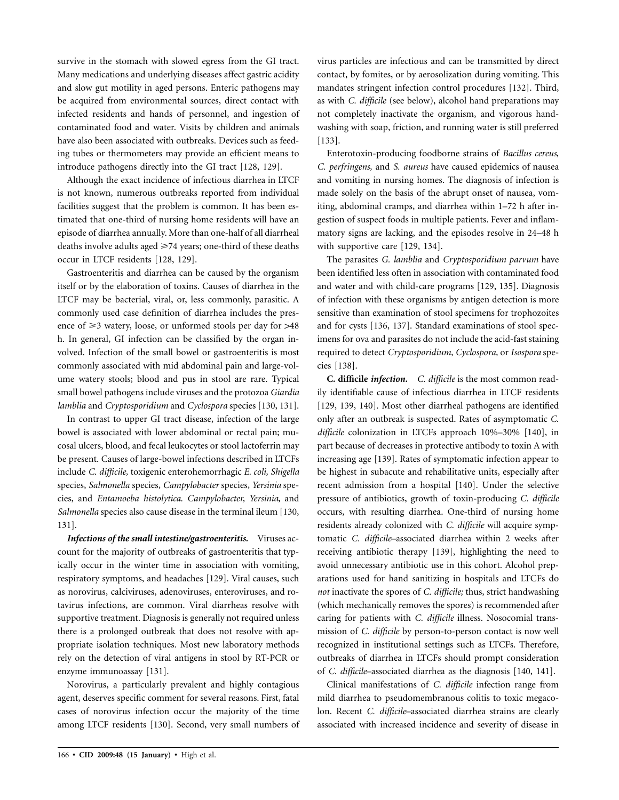survive in the stomach with slowed egress from the GI tract. Many medications and underlying diseases affect gastric acidity and slow gut motility in aged persons. Enteric pathogens may be acquired from environmental sources, direct contact with infected residents and hands of personnel, and ingestion of contaminated food and water. Visits by children and animals have also been associated with outbreaks. Devices such as feeding tubes or thermometers may provide an efficient means to introduce pathogens directly into the GI tract [128, 129].

Although the exact incidence of infectious diarrhea in LTCF is not known, numerous outbreaks reported from individual facilities suggest that the problem is common. It has been estimated that one-third of nursing home residents will have an episode of diarrhea annually. More than one-half of all diarrheal deaths involve adults aged  $\geq$  74 years; one-third of these deaths occur in LTCF residents [128, 129].

Gastroenteritis and diarrhea can be caused by the organism itself or by the elaboration of toxins. Causes of diarrhea in the LTCF may be bacterial, viral, or, less commonly, parasitic. A commonly used case definition of diarrhea includes the presence of  $\geq 3$  watery, loose, or unformed stools per day for  $>48$ h. In general, GI infection can be classified by the organ involved. Infection of the small bowel or gastroenteritis is most commonly associated with mid abdominal pain and large-volume watery stools; blood and pus in stool are rare. Typical small bowel pathogens include viruses and the protozoa *Giardia lamblia* and *Cryptosporidium* and *Cyclospora* species [130, 131].

In contrast to upper GI tract disease, infection of the large bowel is associated with lower abdominal or rectal pain; mucosal ulcers, blood, and fecal leukocytes or stool lactoferrin may be present. Causes of large-bowel infections described in LTCFs include *C. difficile,* toxigenic enterohemorrhagic *E. coli, Shigella* species, *Salmonella* species, *Campylobacter* species, *Yersinia* species, and *Entamoeba histolytica*. *Campylobacter, Yersinia,* and *Salmonella* species also cause disease in the terminal ileum [130, 131].

*Infections of the small intestine/gastroenteritis.* Viruses account for the majority of outbreaks of gastroenteritis that typically occur in the winter time in association with vomiting, respiratory symptoms, and headaches [129]. Viral causes, such as norovirus, calciviruses, adenoviruses, enteroviruses, and rotavirus infections, are common. Viral diarrheas resolve with supportive treatment. Diagnosis is generally not required unless there is a prolonged outbreak that does not resolve with appropriate isolation techniques. Most new laboratory methods rely on the detection of viral antigens in stool by RT-PCR or enzyme immunoassay [131].

Norovirus, a particularly prevalent and highly contagious agent, deserves specific comment for several reasons. First, fatal cases of norovirus infection occur the majority of the time among LTCF residents [130]. Second, very small numbers of virus particles are infectious and can be transmitted by direct contact, by fomites, or by aerosolization during vomiting. This mandates stringent infection control procedures [132]. Third, as with *C. difficile* (see below), alcohol hand preparations may not completely inactivate the organism, and vigorous handwashing with soap, friction, and running water is still preferred [133].

Enterotoxin-producing foodborne strains of *Bacillus cereus, C. perfringens,* and *S. aureus* have caused epidemics of nausea and vomiting in nursing homes. The diagnosis of infection is made solely on the basis of the abrupt onset of nausea, vomiting, abdominal cramps, and diarrhea within 1–72 h after ingestion of suspect foods in multiple patients. Fever and inflammatory signs are lacking, and the episodes resolve in 24–48 h with supportive care [129, 134].

The parasites *G. lamblia* and *Cryptosporidium parvum* have been identified less often in association with contaminated food and water and with child-care programs [129, 135]. Diagnosis of infection with these organisms by antigen detection is more sensitive than examination of stool specimens for trophozoites and for cysts [136, 137]. Standard examinations of stool specimens for ova and parasites do not include the acid-fast staining required to detect *Cryptosporidium, Cyclospora,* or *Isospora* species [138].

**C. difficile** *infection. C. difficile* is the most common readily identifiable cause of infectious diarrhea in LTCF residents [129, 139, 140]. Most other diarrheal pathogens are identified only after an outbreak is suspected. Rates of asymptomatic *C. difficile* colonization in LTCFs approach 10%–30% [140], in part because of decreases in protective antibody to toxin A with increasing age [139]. Rates of symptomatic infection appear to be highest in subacute and rehabilitative units, especially after recent admission from a hospital [140]. Under the selective pressure of antibiotics, growth of toxin-producing *C. difficile* occurs, with resulting diarrhea. One-third of nursing home residents already colonized with *C. difficile* will acquire symptomatic *C. difficile*–associated diarrhea within 2 weeks after receiving antibiotic therapy [139], highlighting the need to avoid unnecessary antibiotic use in this cohort. Alcohol preparations used for hand sanitizing in hospitals and LTCFs do *not* inactivate the spores of *C. difficile;* thus, strict handwashing (which mechanically removes the spores) is recommended after caring for patients with *C. difficile* illness. Nosocomial transmission of *C. difficile* by person-to-person contact is now well recognized in institutional settings such as LTCFs. Therefore, outbreaks of diarrhea in LTCFs should prompt consideration of *C. difficile*–associated diarrhea as the diagnosis [140, 141].

Clinical manifestations of *C. difficile* infection range from mild diarrhea to pseudomembranous colitis to toxic megacolon. Recent *C. difficile*–associated diarrhea strains are clearly associated with increased incidence and severity of disease in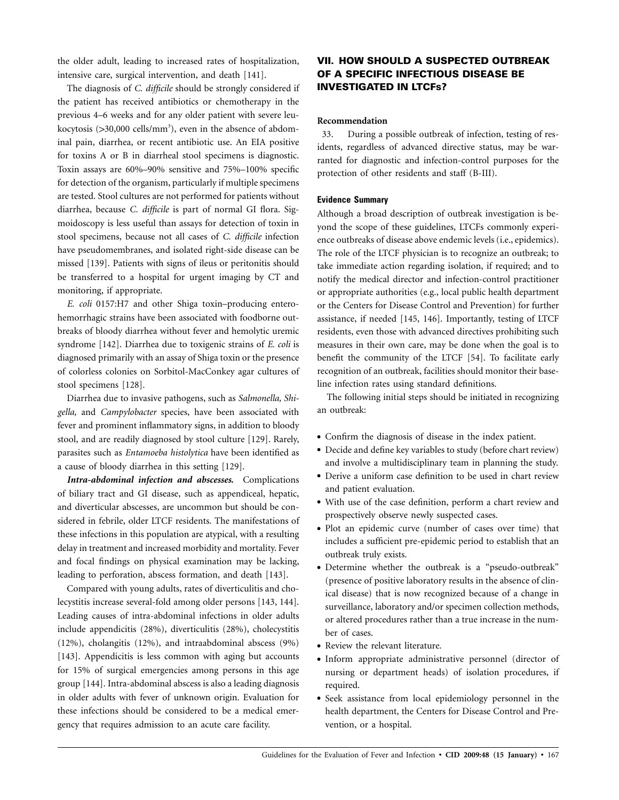the older adult, leading to increased rates of hospitalization, intensive care, surgical intervention, and death [141].

The diagnosis of *C. difficile* should be strongly considered if the patient has received antibiotics or chemotherapy in the previous 4–6 weeks and for any older patient with severe leukocytosis (>30,000 cells/mm<sup>3</sup>), even in the absence of abdominal pain, diarrhea, or recent antibiotic use. An EIA positive for toxins A or B in diarrheal stool specimens is diagnostic. Toxin assays are 60%–90% sensitive and 75%–100% specific for detection of the organism, particularly if multiple specimens are tested. Stool cultures are not performed for patients without diarrhea, because *C. difficile* is part of normal GI flora. Sigmoidoscopy is less useful than assays for detection of toxin in stool specimens, because not all cases of *C. difficile* infection have pseudomembranes, and isolated right-side disease can be missed [139]. Patients with signs of ileus or peritonitis should be transferred to a hospital for urgent imaging by CT and monitoring, if appropriate.

*E. coli* 0157:H7 and other Shiga toxin–producing enterohemorrhagic strains have been associated with foodborne outbreaks of bloody diarrhea without fever and hemolytic uremic syndrome [142]. Diarrhea due to toxigenic strains of *E. coli* is diagnosed primarily with an assay of Shiga toxin or the presence of colorless colonies on Sorbitol-MacConkey agar cultures of stool specimens [128].

Diarrhea due to invasive pathogens, such as *Salmonella, Shigella,* and *Campylobacter* species, have been associated with fever and prominent inflammatory signs, in addition to bloody stool, and are readily diagnosed by stool culture [129]. Rarely, parasites such as *Entamoeba histolytica* have been identified as a cause of bloody diarrhea in this setting [129].

*Intra-abdominal infection and abscesses.* Complications of biliary tract and GI disease, such as appendiceal, hepatic, and diverticular abscesses, are uncommon but should be considered in febrile, older LTCF residents. The manifestations of these infections in this population are atypical, with a resulting delay in treatment and increased morbidity and mortality. Fever and focal findings on physical examination may be lacking, leading to perforation, abscess formation, and death [143].

Compared with young adults, rates of diverticulitis and cholecystitis increase several-fold among older persons [143, 144]. Leading causes of intra-abdominal infections in older adults include appendicitis (28%), diverticulitis (28%), cholecystitis (12%), cholangitis (12%), and intraabdominal abscess (9%) [143]. Appendicitis is less common with aging but accounts for 15% of surgical emergencies among persons in this age group [144]. Intra-abdominal abscess is also a leading diagnosis in older adults with fever of unknown origin. Evaluation for these infections should be considered to be a medical emergency that requires admission to an acute care facility.

# **VII. HOW SHOULD A SUSPECTED OUTBREAK OF A SPECIFIC INFECTIOUS DISEASE BE INVESTIGATED IN LTCFS?**

# **Recommendation**

33. During a possible outbreak of infection, testing of residents, regardless of advanced directive status, may be warranted for diagnostic and infection-control purposes for the protection of other residents and staff (B-III).

#### **Evidence Summary**

Although a broad description of outbreak investigation is beyond the scope of these guidelines, LTCFs commonly experience outbreaks of disease above endemic levels (i.e., epidemics). The role of the LTCF physician is to recognize an outbreak; to take immediate action regarding isolation, if required; and to notify the medical director and infection-control practitioner or appropriate authorities (e.g., local public health department or the Centers for Disease Control and Prevention) for further assistance, if needed [145, 146]. Importantly, testing of LTCF residents, even those with advanced directives prohibiting such measures in their own care, may be done when the goal is to benefit the community of the LTCF [54]. To facilitate early recognition of an outbreak, facilities should monitor their baseline infection rates using standard definitions.

The following initial steps should be initiated in recognizing an outbreak:

- Confirm the diagnosis of disease in the index patient.
- Decide and define key variables to study (before chart review) and involve a multidisciplinary team in planning the study.
- Derive a uniform case definition to be used in chart review and patient evaluation.
- With use of the case definition, perform a chart review and prospectively observe newly suspected cases.
- Plot an epidemic curve (number of cases over time) that includes a sufficient pre-epidemic period to establish that an outbreak truly exists.
- Determine whether the outbreak is a "pseudo-outbreak" (presence of positive laboratory results in the absence of clinical disease) that is now recognized because of a change in surveillance, laboratory and/or specimen collection methods, or altered procedures rather than a true increase in the number of cases.
- Review the relevant literature.
- Inform appropriate administrative personnel (director of nursing or department heads) of isolation procedures, if required.
- Seek assistance from local epidemiology personnel in the health department, the Centers for Disease Control and Prevention, or a hospital.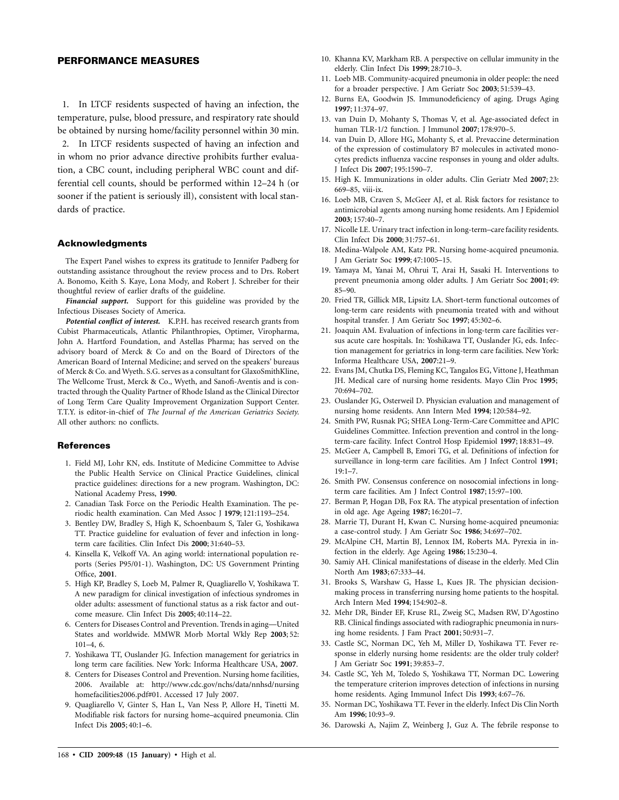#### **PERFORMANCE MEASURES**

1. In LTCF residents suspected of having an infection, the temperature, pulse, blood pressure, and respiratory rate should be obtained by nursing home/facility personnel within 30 min.

2. In LTCF residents suspected of having an infection and in whom no prior advance directive prohibits further evaluation, a CBC count, including peripheral WBC count and differential cell counts, should be performed within 12–24 h (or sooner if the patient is seriously ill), consistent with local standards of practice.

#### **Acknowledgments**

The Expert Panel wishes to express its gratitude to Jennifer Padberg for outstanding assistance throughout the review process and to Drs. Robert A. Bonomo, Keith S. Kaye, Lona Mody, and Robert J. Schreiber for their thoughtful review of earlier drafts of the guideline.

*Financial support.* Support for this guideline was provided by the Infectious Diseases Society of America.

*Potential conflict of interest.* K.P.H. has received research grants from Cubist Pharmaceuticals, Atlantic Philanthropies, Optimer, Viropharma, John A. Hartford Foundation, and Astellas Pharma; has served on the advisory board of Merck & Co and on the Board of Directors of the American Board of Internal Medicine; and served on the speakers' bureaus of Merck & Co. and Wyeth. S.G. serves as a consultant for GlaxoSmithKline, The Wellcome Trust, Merck & Co., Wyeth, and Sanofi-Aventis and is contracted through the Quality Partner of Rhode Island as the Clinical Director of Long Term Care Quality Improvement Organization Support Center. T.T.Y. is editor-in-chief of *The Journal of the American Geriatrics Society.* All other authors: no conflicts.

#### **References**

- 1. Field MJ, Lohr KN, eds. Institute of Medicine Committee to Advise the Public Health Service on Clinical Practice Guidelines, clinical practice guidelines: directions for a new program. Washington, DC: National Academy Press, **1990**.
- 2. Canadian Task Force on the Periodic Health Examination. The periodic health examination. Can Med Assoc J **1979**; 121:1193–254.
- 3. Bentley DW, Bradley S, High K, Schoenbaum S, Taler G, Yoshikawa TT. Practice guideline for evaluation of fever and infection in longterm care facilities. Clin Infect Dis **2000**; 31:640–53.
- 4. Kinsella K, Velkoff VA. An aging world: international population reports (Series P95/01-1). Washington, DC: US Government Printing Office, **2001**.
- 5. High KP, Bradley S, Loeb M, Palmer R, Quagliarello V, Yoshikawa T. A new paradigm for clinical investigation of infectious syndromes in older adults: assessment of functional status as a risk factor and outcome measure. Clin Infect Dis **2005**; 40:114–22.
- 6. Centers for Diseases Control and Prevention. Trends in aging—United States and worldwide. MMWR Morb Mortal Wkly Rep **2003**; 52: 101–4, 6.
- 7. Yoshikawa TT, Ouslander JG. Infection management for geriatrics in long term care facilities. New York: Informa Healthcare USA, **2007**.
- 8. Centers for Diseases Control and Prevention. Nursing home facilities, 2006. Available at: http://www.cdc.gov/nchs/data/nnhsd/nursing homefacilities2006.pdf#01. Accessed 17 July 2007.
- 9. Quagliarello V, Ginter S, Han L, Van Ness P, Allore H, Tinetti M. Modifiable risk factors for nursing home–acquired pneumonia. Clin Infect Dis **2005**; 40:1–6.
- 10. Khanna KV, Markham RB. A perspective on cellular immunity in the elderly. Clin Infect Dis **1999**; 28:710–3.
- 11. Loeb MB. Community-acquired pneumonia in older people: the need for a broader perspective. J Am Geriatr Soc **2003**; 51:539–43.
- 12. Burns EA, Goodwin JS. Immunodeficiency of aging. Drugs Aging **1997**; 11:374–97.
- 13. van Duin D, Mohanty S, Thomas V, et al. Age-associated defect in human TLR-1/2 function. J Immunol **2007**; 178:970–5.
- 14. van Duin D, Allore HG, Mohanty S, et al. Prevaccine determination of the expression of costimulatory B7 molecules in activated monocytes predicts influenza vaccine responses in young and older adults. J Infect Dis **2007**; 195:1590–7.
- 15. High K. Immunizations in older adults. Clin Geriatr Med **2007**; 23: 669–85, viii-ix.
- 16. Loeb MB, Craven S, McGeer AJ, et al. Risk factors for resistance to antimicrobial agents among nursing home residents. Am J Epidemiol **2003**; 157:40–7.
- 17. Nicolle LE. Urinary tract infection in long-term–care facility residents. Clin Infect Dis **2000**; 31:757–61.
- 18. Medina-Walpole AM, Katz PR. Nursing home-acquired pneumonia. J Am Geriatr Soc **1999**; 47:1005–15.
- 19. Yamaya M, Yanai M, Ohrui T, Arai H, Sasaki H. Interventions to prevent pneumonia among older adults. J Am Geriatr Soc **2001**; 49: 85–90.
- 20. Fried TR, Gillick MR, Lipsitz LA. Short-term functional outcomes of long-term care residents with pneumonia treated with and without hospital transfer. J Am Geriatr Soc **1997**; 45:302–6.
- 21. Joaquin AM. Evaluation of infections in long-term care facilities versus acute care hospitals. In: Yoshikawa TT, Ouslander JG, eds. Infection management for geriatrics in long-term care facilities. New York: Informa Healthcare USA, **2007**:21–9.
- 22. Evans JM, Chutka DS, Fleming KC, Tangalos EG, Vittone J, Heathman JH. Medical care of nursing home residents. Mayo Clin Proc **1995**; 70:694–702.
- 23. Ouslander JG, Osterweil D. Physician evaluation and management of nursing home residents. Ann Intern Med **1994**; 120:584–92.
- 24. Smith PW, Rusnak PG; SHEA Long-Term-Care Committee and APIC Guidelines Committee. Infection prevention and control in the longterm-care facility. Infect Control Hosp Epidemiol **1997**; 18:831–49.
- 25. McGeer A, Campbell B, Emori TG, et al. Definitions of infection for surveillance in long-term care facilities. Am J Infect Control **1991**; 19:1–7.
- 26. Smith PW. Consensus conference on nosocomial infections in longterm care facilities. Am J Infect Control **1987**; 15:97–100.
- 27. Berman P, Hogan DB, Fox RA. The atypical presentation of infection in old age. Age Ageing **1987**; 16:201–7.
- 28. Marrie TJ, Durant H, Kwan C. Nursing home-acquired pneumonia: a case-control study. J Am Geriatr Soc **1986**; 34:697–702.
- 29. McAlpine CH, Martin BJ, Lennox IM, Roberts MA. Pyrexia in infection in the elderly. Age Ageing **1986**; 15:230–4.
- 30. Samiy AH. Clinical manifestations of disease in the elderly. Med Clin North Am **1983**; 67:333–44.
- 31. Brooks S, Warshaw G, Hasse L, Kues JR. The physician decisionmaking process in transferring nursing home patients to the hospital. Arch Intern Med **1994**; 154:902–8.
- 32. Mehr DR, Binder EF, Kruse RL, Zweig SC, Madsen RW, D'Agostino RB. Clinical findings associated with radiographic pneumonia in nursing home residents. J Fam Pract **2001**; 50:931–7.
- 33. Castle SC, Norman DC, Yeh M, Miller D, Yoshikawa TT. Fever response in elderly nursing home residents: are the older truly colder? J Am Geriatr Soc **1991**; 39:853–7.
- 34. Castle SC, Yeh M, Toledo S, Yoshikawa TT, Norman DC. Lowering the temperature criterion improves detection of infections in nursing home residents. Aging Immunol Infect Dis **1993**; 4:67–76.
- 35. Norman DC, Yoshikawa TT. Fever in the elderly. Infect Dis Clin North Am **1996**; 10:93–9.
- 36. Darowski A, Najim Z, Weinberg J, Guz A. The febrile response to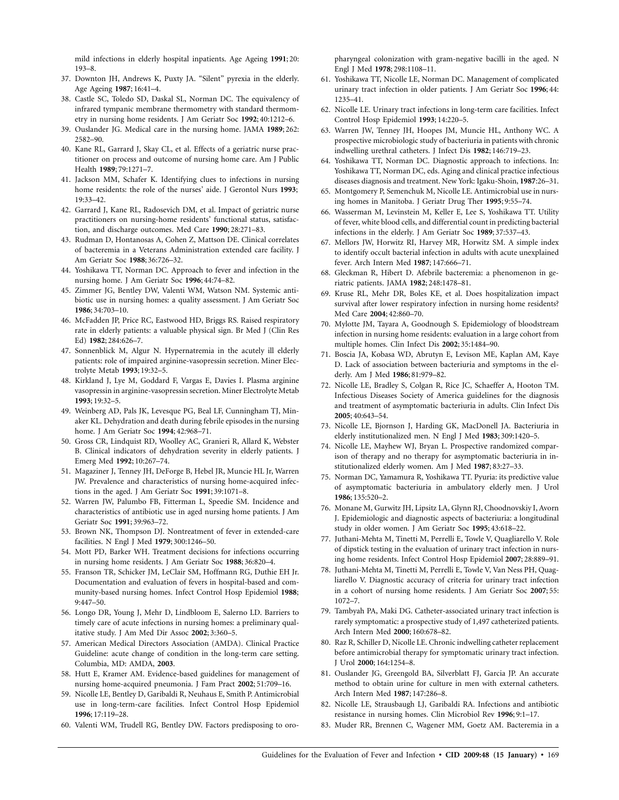mild infections in elderly hospital inpatients. Age Ageing **1991**; 20: 193–8.

- 37. Downton JH, Andrews K, Puxty JA. "Silent" pyrexia in the elderly. Age Ageing **1987**; 16:41–4.
- 38. Castle SC, Toledo SD, Daskal SL, Norman DC. The equivalency of infrared tympanic membrane thermometry with standard thermometry in nursing home residents. J Am Geriatr Soc **1992**; 40:1212–6.
- 39. Ouslander JG. Medical care in the nursing home. JAMA **1989**; 262: 2582–90.
- 40. Kane RL, Garrard J, Skay CL, et al. Effects of a geriatric nurse practitioner on process and outcome of nursing home care. Am J Public Health **1989**; 79:1271–7.
- 41. Jackson MM, Schafer K. Identifying clues to infections in nursing home residents: the role of the nurses' aide. J Gerontol Nurs **1993**; 19:33–42.
- 42. Garrard J, Kane RL, Radosevich DM, et al. Impact of geriatric nurse practitioners on nursing-home residents' functional status, satisfaction, and discharge outcomes. Med Care **1990**; 28:271–83.
- 43. Rudman D, Hontanosas A, Cohen Z, Mattson DE. Clinical correlates of bacteremia in a Veterans Administration extended care facility. J Am Geriatr Soc **1988**; 36:726–32.
- 44. Yoshikawa TT, Norman DC. Approach to fever and infection in the nursing home. J Am Geriatr Soc **1996**; 44:74–82.
- 45. Zimmer JG, Bentley DW, Valenti WM, Watson NM. Systemic antibiotic use in nursing homes: a quality assessment. J Am Geriatr Soc **1986**; 34:703–10.
- 46. McFadden JP, Price RC, Eastwood HD, Briggs RS. Raised respiratory rate in elderly patients: a valuable physical sign. Br Med J (Clin Res Ed) **1982**; 284:626–7.
- 47. Sonnenblick M, Algur N. Hypernatremia in the acutely ill elderly patients: role of impaired arginine-vasopressin secretion. Miner Electrolyte Metab **1993**; 19:32–5.
- 48. Kirkland J, Lye M, Goddard F, Vargas E, Davies I. Plasma arginine vasopressin in arginine-vasopressin secretion. Miner Electrolyte Metab **1993**; 19:32–5.
- 49. Weinberg AD, Pals JK, Levesque PG, Beal LF, Cunningham TJ, Minaker KL. Dehydration and death during febrile episodes in the nursing home. J Am Geriatr Soc **1994**; 42:968–71.
- 50. Gross CR, Lindquist RD, Woolley AC, Granieri R, Allard K, Webster B. Clinical indicators of dehydration severity in elderly patients. J Emerg Med **1992**; 10:267–74.
- 51. Magaziner J, Tenney JH, DeForge B, Hebel JR, Muncie HL Jr, Warren JW. Prevalence and characteristics of nursing home-acquired infections in the aged. J Am Geriatr Soc **1991**; 39:1071–8.
- 52. Warren JW, Palumbo FB, Fitterman L, Speedie SM. Incidence and characteristics of antibiotic use in aged nursing home patients. J Am Geriatr Soc **1991**; 39:963–72.
- 53. Brown NK, Thompson DJ. Nontreatment of fever in extended-care facilities. N Engl J Med **1979**; 300:1246–50.
- 54. Mott PD, Barker WH. Treatment decisions for infections occurring in nursing home residents. J Am Geriatr Soc **1988**; 36:820–4.
- 55. Franson TR, Schicker JM, LeClair SM, Hoffmann RG, Duthie EH Jr. Documentation and evaluation of fevers in hospital-based and community-based nursing homes. Infect Control Hosp Epidemiol **1988**; 9:447–50.
- 56. Longo DR, Young J, Mehr D, Lindbloom E, Salerno LD. Barriers to timely care of acute infections in nursing homes: a preliminary qualitative study. J Am Med Dir Assoc **2002**; 3:360–5.
- 57. American Medical Directors Association (AMDA). Clinical Practice Guideline: acute change of condition in the long-term care setting. Columbia, MD: AMDA, **2003**.
- 58. Hutt E, Kramer AM. Evidence-based guidelines for management of nursing home-acquired pneumonia. J Fam Pract **2002**; 51:709–16.
- 59. Nicolle LE, Bentley D, Garibaldi R, Neuhaus E, Smith P. Antimicrobial use in long-term-care facilities. Infect Control Hosp Epidemiol **1996**; 17:119–28.
- 60. Valenti WM, Trudell RG, Bentley DW. Factors predisposing to oro-

pharyngeal colonization with gram-negative bacilli in the aged. N Engl J Med **1978**; 298:1108–11.

- 61. Yoshikawa TT, Nicolle LE, Norman DC. Management of complicated urinary tract infection in older patients. J Am Geriatr Soc **1996**; 44: 1235–41.
- 62. Nicolle LE. Urinary tract infections in long-term care facilities. Infect Control Hosp Epidemiol **1993**; 14:220–5.
- 63. Warren JW, Tenney JH, Hoopes JM, Muncie HL, Anthony WC. A prospective microbiologic study of bacteriuria in patients with chronic indwelling urethral catheters. J Infect Dis **1982**; 146:719–23.
- 64. Yoshikawa TT, Norman DC. Diagnostic approach to infections. In: Yoshikawa TT, Norman DC, eds. Aging and clinical practice infectious diseases diagnosis and treatment. New York: Igaku-Shoin, **1987**:26–31.
- 65. Montgomery P, Semenchuk M, Nicolle LE. Antimicrobial use in nursing homes in Manitoba. J Geriatr Drug Ther **1995**; 9:55–74.
- 66. Wasserman M, Levinstein M, Keller E, Lee S, Yoshikawa TT. Utility of fever, white blood cells, and differential count in predicting bacterial infections in the elderly. J Am Geriatr Soc **1989**; 37:537–43.
- 67. Mellors JW, Horwitz RI, Harvey MR, Horwitz SM. A simple index to identify occult bacterial infection in adults with acute unexplained fever. Arch Intern Med **1987**; 147:666–71.
- 68. Gleckman R, Hibert D. Afebrile bacteremia: a phenomenon in geriatric patients. JAMA **1982**; 248:1478–81.
- 69. Kruse RL, Mehr DR, Boles KE, et al. Does hospitalization impact survival after lower respiratory infection in nursing home residents? Med Care **2004**; 42:860–70.
- 70. Mylotte JM, Tayara A, Goodnough S. Epidemiology of bloodstream infection in nursing home residents: evaluation in a large cohort from multiple homes. Clin Infect Dis **2002**; 35:1484–90.
- 71. Boscia JA, Kobasa WD, Abrutyn E, Levison ME, Kaplan AM, Kaye D. Lack of association between bacteriuria and symptoms in the elderly. Am J Med **1986**; 81:979–82.
- 72. Nicolle LE, Bradley S, Colgan R, Rice JC, Schaeffer A, Hooton TM. Infectious Diseases Society of America guidelines for the diagnosis and treatment of asymptomatic bacteriuria in adults. Clin Infect Dis **2005**; 40:643–54.
- 73. Nicolle LE, Bjornson J, Harding GK, MacDonell JA. Bacteriuria in elderly institutionalized men. N Engl J Med **1983**; 309:1420–5.
- 74. Nicolle LE, Mayhew WJ, Bryan L. Prospective randomized comparison of therapy and no therapy for asymptomatic bacteriuria in institutionalized elderly women. Am J Med **1987**; 83:27–33.
- 75. Norman DC, Yamamura R, Yoshikawa TT. Pyuria: its predictive value of asymptomatic bacteriuria in ambulatory elderly men. J Urol **1986**; 135:520–2.
- 76. Monane M, Gurwitz JH, Lipsitz LA, Glynn RJ, Choodnovskiy I, Avorn J. Epidemiologic and diagnostic aspects of bacteriuria: a longitudinal study in older women. J Am Geriatr Soc **1995**; 43:618–22.
- 77. Juthani-Mehta M, Tinetti M, Perrelli E, Towle V, Quagliarello V. Role of dipstick testing in the evaluation of urinary tract infection in nursing home residents. Infect Control Hosp Epidemiol **2007**; 28:889–91.
- 78. Juthani-Mehta M, Tinetti M, Perrelli E, Towle V, Van Ness PH, Quagliarello V. Diagnostic accuracy of criteria for urinary tract infection in a cohort of nursing home residents. J Am Geriatr Soc **2007**; 55: 1072–7.
- 79. Tambyah PA, Maki DG. Catheter-associated urinary tract infection is rarely symptomatic: a prospective study of 1,497 catheterized patients. Arch Intern Med **2000**; 160:678–82.
- 80. Raz R, Schiller D, Nicolle LE. Chronic indwelling catheter replacement before antimicrobial therapy for symptomatic urinary tract infection. J Urol **2000**; 164:1254–8.
- 81. Ouslander JG, Greengold BA, Silverblatt FJ, Garcia JP. An accurate method to obtain urine for culture in men with external catheters. Arch Intern Med **1987**; 147:286–8.
- 82. Nicolle LE, Strausbaugh LJ, Garibaldi RA. Infections and antibiotic resistance in nursing homes. Clin Microbiol Rev **1996**; 9:1–17.
- 83. Muder RR, Brennen C, Wagener MM, Goetz AM. Bacteremia in a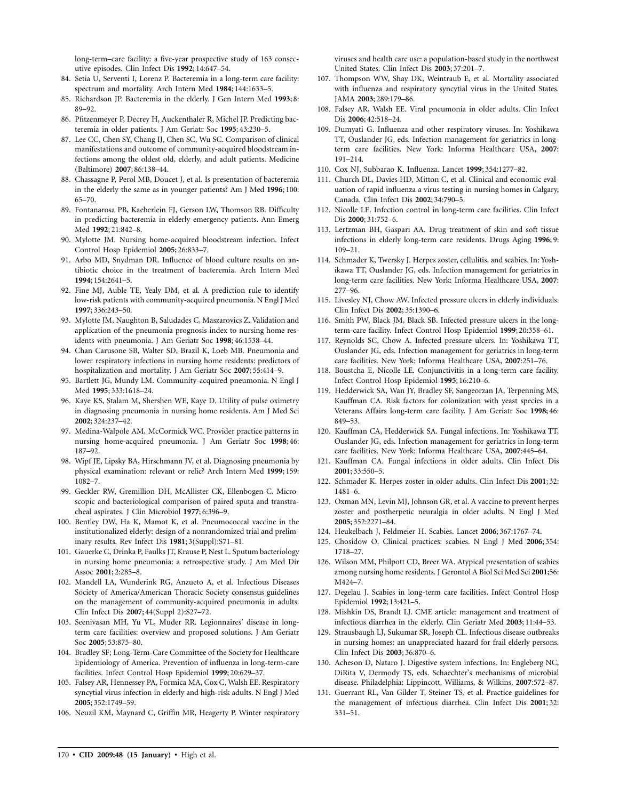long-term–care facility: a five-year prospective study of 163 consecutive episodes. Clin Infect Dis **1992**; 14:647–54.

- 84. Setia U, Serventi I, Lorenz P. Bacteremia in a long-term care facility: spectrum and mortality. Arch Intern Med **1984**; 144:1633–5.
- 85. Richardson JP. Bacteremia in the elderly. J Gen Intern Med **1993**; 8: 89–92.
- 86. Pfitzenmeyer P, Decrey H, Auckenthaler R, Michel JP. Predicting bacteremia in older patients. J Am Geriatr Soc **1995**; 43:230–5.
- 87. Lee CC, Chen SY, Chang IJ, Chen SC, Wu SC. Comparison of clinical manifestations and outcome of community-acquired bloodstream infections among the oldest old, elderly, and adult patients. Medicine (Baltimore) **2007**; 86:138–44.
- 88. Chassagne P, Perol MB, Doucet J, et al. Is presentation of bacteremia in the elderly the same as in younger patients? Am J Med **1996**; 100: 65–70.
- 89. Fontanarosa PB, Kaeberlein FJ, Gerson LW, Thomson RB. Difficulty in predicting bacteremia in elderly emergency patients. Ann Emerg Med **1992**; 21:842–8.
- 90. Mylotte JM. Nursing home-acquired bloodstream infection. Infect Control Hosp Epidemiol **2005**; 26:833–7.
- 91. Arbo MD, Snydman DR. Influence of blood culture results on antibiotic choice in the treatment of bacteremia. Arch Intern Med **1994**; 154:2641–5.
- 92. Fine MJ, Auble TE, Yealy DM, et al. A prediction rule to identify low-risk patients with community-acquired pneumonia. N Engl J Med **1997**; 336:243–50.
- 93. Mylotte JM, Naughton B, Saludades C, Maszarovics Z. Validation and application of the pneumonia prognosis index to nursing home residents with pneumonia. J Am Geriatr Soc **1998**; 46:1538–44.
- 94. Chan Carusone SB, Walter SD, Brazil K, Loeb MB. Pneumonia and lower respiratory infections in nursing home residents: predictors of hospitalization and mortality. J Am Geriatr Soc **2007**; 55:414–9.
- 95. Bartlett JG, Mundy LM. Community-acquired pneumonia. N Engl J Med **1995**; 333:1618–24.
- 96. Kaye KS, Stalam M, Shershen WE, Kaye D. Utility of pulse oximetry in diagnosing pneumonia in nursing home residents. Am J Med Sci **2002**; 324:237–42.
- 97. Medina-Walpole AM, McCormick WC. Provider practice patterns in nursing home-acquired pneumonia. J Am Geriatr Soc **1998**; 46: 187–92.
- 98. Wipf JE, Lipsky BA, Hirschmann JV, et al. Diagnosing pneumonia by physical examination: relevant or relic? Arch Intern Med **1999**; 159: 1082–7.
- 99. Geckler RW, Gremillion DH, McAllister CK, Ellenbogen C. Microscopic and bacteriological comparison of paired sputa and transtracheal aspirates. J Clin Microbiol **1977**; 6:396–9.
- 100. Bentley DW, Ha K, Mamot K, et al. Pneumococcal vaccine in the institutionalized elderly: design of a nonrandomized trial and preliminary results. Rev Infect Dis **1981**; 3(Suppl):S71–81.
- 101. Gauerke C, Drinka P, Faulks JT, Krause P, Nest L. Sputum bacteriology in nursing home pneumonia: a retrospective study. J Am Med Dir Assoc **2001**; 2:285–8.
- 102. Mandell LA, Wunderink RG, Anzueto A, et al. Infectious Diseases Society of America/American Thoracic Society consensus guidelines on the management of community-acquired pneumonia in adults. Clin Infect Dis **2007**; 44(Suppl 2):S27–72.
- 103. Seenivasan MH, Yu VL, Muder RR. Legionnaires' disease in longterm care facilities: overview and proposed solutions. J Am Geriatr Soc **2005**; 53:875–80.
- 104. Bradley SF; Long-Term-Care Committee of the Society for Healthcare Epidemiology of America. Prevention of influenza in long-term-care facilities. Infect Control Hosp Epidemiol **1999**; 20:629–37.
- 105. Falsey AR, Hennessey PA, Formica MA, Cox C, Walsh EE. Respiratory syncytial virus infection in elderly and high-risk adults. N Engl J Med **2005**; 352:1749–59.
- 106. Neuzil KM, Maynard C, Griffin MR, Heagerty P. Winter respiratory

viruses and health care use: a population-based study in the northwest United States. Clin Infect Dis **2003**; 37:201–7.

- 107. Thompson WW, Shay DK, Weintraub E, et al. Mortality associated with influenza and respiratory syncytial virus in the United States. JAMA **2003**; 289:179–86.
- 108. Falsey AR, Walsh EE. Viral pneumonia in older adults. Clin Infect Dis **2006**; 42:518–24.
- 109. Dumyati G. Influenza and other respiratory viruses. In: Yoshikawa TT, Ouslander JG, eds. Infection management for geriatrics in longterm care facilities. New York: Informa Healthcare USA, **2007**: 191–214.
- 110. Cox NJ, Subbarao K. Influenza. Lancet **1999**; 354:1277–82.
- 111. Church DL, Davies HD, Mitton C, et al. Clinical and economic evaluation of rapid influenza a virus testing in nursing homes in Calgary, Canada. Clin Infect Dis **2002**; 34:790–5.
- 112. Nicolle LE. Infection control in long-term care facilities. Clin Infect Dis **2000**; 31:752–6.
- 113. Lertzman BH, Gaspari AA. Drug treatment of skin and soft tissue infections in elderly long-term care residents. Drugs Aging **1996**; 9: 109–21.
- 114. Schmader K, Twersky J. Herpes zoster, cellulitis, and scabies. In: Yoshikawa TT, Ouslander JG, eds. Infection management for geriatrics in long-term care facilities. New York: Informa Healthcare USA, **2007**: 277–96.
- 115. Livesley NJ, Chow AW. Infected pressure ulcers in elderly individuals. Clin Infect Dis **2002**; 35:1390–6.
- 116. Smith PW, Black JM, Black SB. Infected pressure ulcers in the longterm-care facility. Infect Control Hosp Epidemiol **1999**; 20:358–61.
- 117. Reynolds SC, Chow A. Infected pressure ulcers. In: Yoshikawa TT, Ouslander JG, eds. Infection management for geriatrics in long-term care facilities. New York: Informa Healthcare USA, **2007**:251–76.
- 118. Boustcha E, Nicolle LE. Conjunctivitis in a long-term care facility. Infect Control Hosp Epidemiol **1995**; 16:210–6.
- 119. Hedderwick SA, Wan JY, Bradley SF, Sangeorzan JA, Terpenning MS, Kauffman CA. Risk factors for colonization with yeast species in a Veterans Affairs long-term care facility. J Am Geriatr Soc **1998**; 46: 849–53.
- 120. Kauffman CA, Hedderwick SA. Fungal infections. In: Yoshikawa TT, Ouslander JG, eds. Infection management for geriatrics in long-term care facilities. New York: Informa Healthcare USA, **2007**:445–64.
- 121. Kauffman CA. Fungal infections in older adults. Clin Infect Dis **2001**; 33:550–5.
- 122. Schmader K. Herpes zoster in older adults. Clin Infect Dis **2001**; 32: 1481–6.
- 123. Oxman MN, Levin MJ, Johnson GR, et al. A vaccine to prevent herpes zoster and postherpetic neuralgia in older adults. N Engl J Med **2005**; 352:2271–84.
- 124. Heukelbach J, Feldmeier H. Scabies. Lancet **2006**; 367:1767–74.
- 125. Chosidow O. Clinical practices: scabies. N Engl J Med **2006**; 354: 1718–27.
- 126. Wilson MM, Philpott CD, Breer WA. Atypical presentation of scabies among nursing home residents. J Gerontol A Biol Sci Med Sci **2001**;56: M424–7.
- 127. Degelau J. Scabies in long-term care facilities. Infect Control Hosp Epidemiol **1992**; 13:421–5.
- 128. Mishkin DS, Brandt LJ. CME article: management and treatment of infectious diarrhea in the elderly. Clin Geriatr Med **2003**; 11:44–53.
- 129. Strausbaugh LJ, Sukumar SR, Joseph CL. Infectious disease outbreaks in nursing homes: an unappreciated hazard for frail elderly persons. Clin Infect Dis **2003**; 36:870–6.
- 130. Acheson D, Nataro J. Digestive system infections. In: Engleberg NC, DiRita V, Dermody TS, eds. Schaechter's mechanisms of microbial disease. Philadelphia: Lippincott, Williams, & Wilkins, **2007**:572–87.
- 131. Guerrant RL, Van Gilder T, Steiner TS, et al. Practice guidelines for the management of infectious diarrhea. Clin Infect Dis **2001**; 32: 331–51.